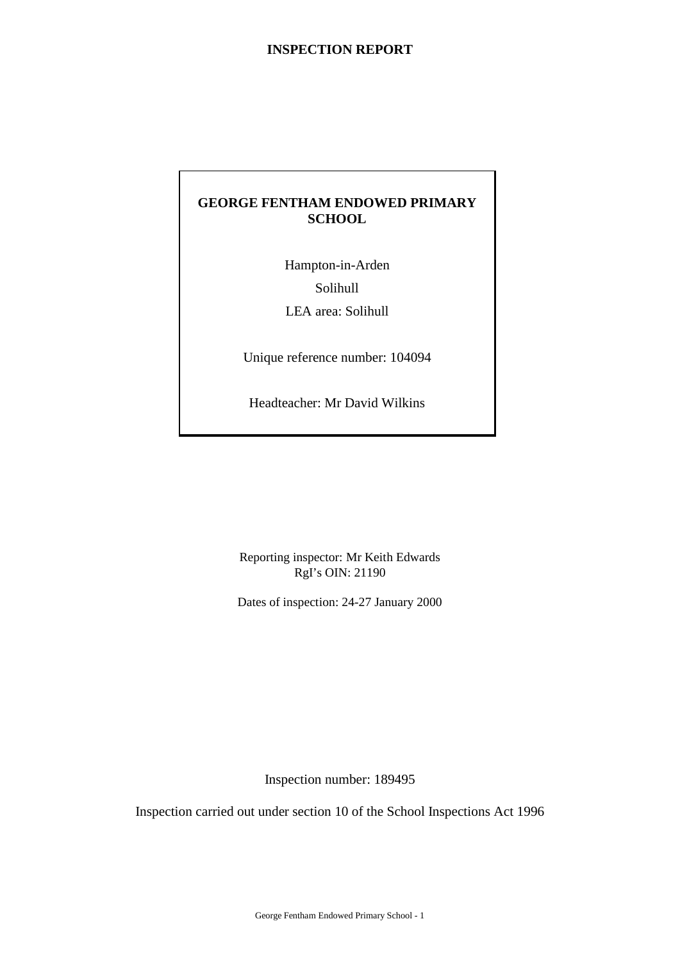# **GEORGE FENTHAM ENDOWED PRIMARY SCHOOL**

Hampton-in-Arden Solihull LEA area: Solihull

Unique reference number: 104094

Headteacher: Mr David Wilkins

Reporting inspector: Mr Keith Edwards RgI's OIN: 21190

Dates of inspection: 24-27 January 2000

Inspection number: 189495

Inspection carried out under section 10 of the School Inspections Act 1996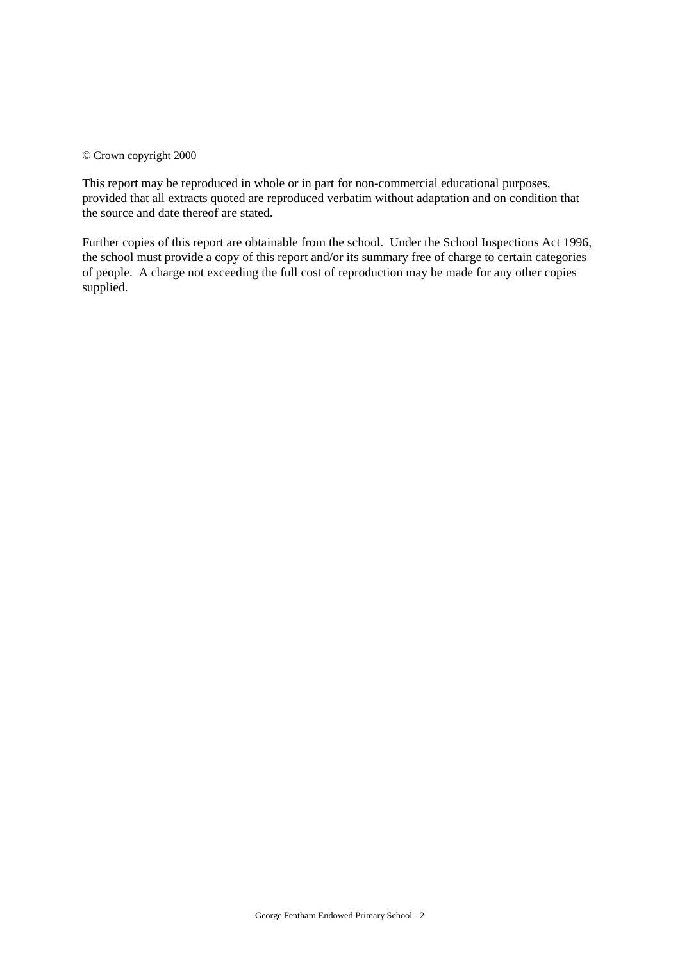#### © Crown copyright 2000

This report may be reproduced in whole or in part for non-commercial educational purposes, provided that all extracts quoted are reproduced verbatim without adaptation and on condition that the source and date thereof are stated.

Further copies of this report are obtainable from the school. Under the School Inspections Act 1996, the school must provide a copy of this report and/or its summary free of charge to certain categories of people. A charge not exceeding the full cost of reproduction may be made for any other copies supplied.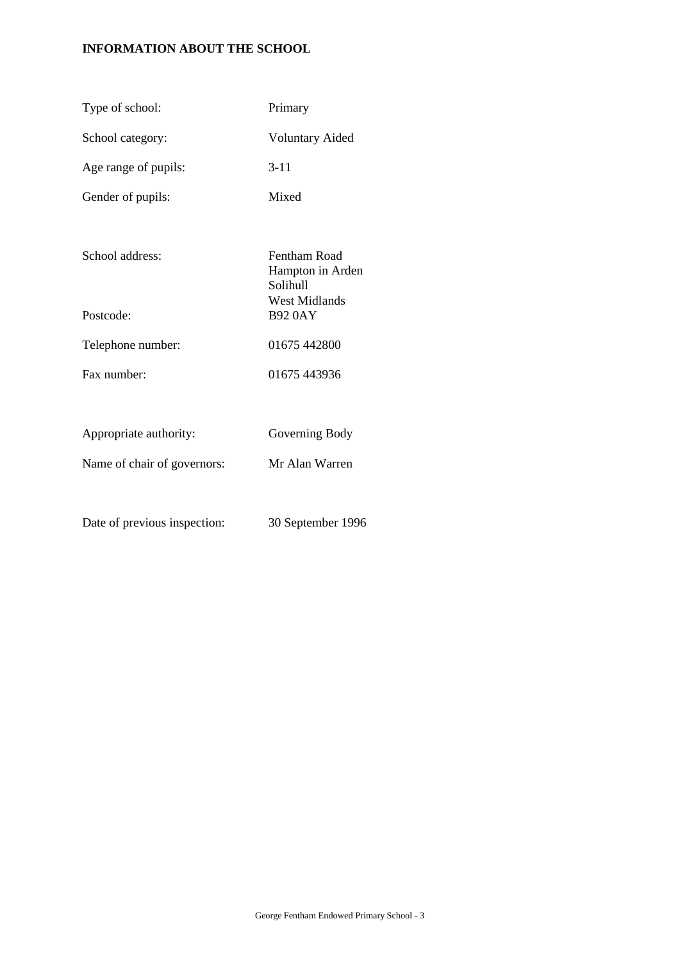# **INFORMATION ABOUT THE SCHOOL**

| Type of school:              | Primary                                                              |
|------------------------------|----------------------------------------------------------------------|
| School category:             | <b>Voluntary Aided</b>                                               |
| Age range of pupils:         | $3 - 11$                                                             |
| Gender of pupils:            | Mixed                                                                |
| School address:              | Fentham Road<br>Hampton in Arden<br>Solihull<br><b>West Midlands</b> |
| Postcode:                    | <b>B92 0AY</b>                                                       |
| Telephone number:            | 01675 442800                                                         |
| Fax number:                  | 01675 443936                                                         |
|                              |                                                                      |
| Appropriate authority:       | Governing Body                                                       |
| Name of chair of governors:  | Mr Alan Warren                                                       |
|                              |                                                                      |
| Date of previous inspection: | 30 September 1996                                                    |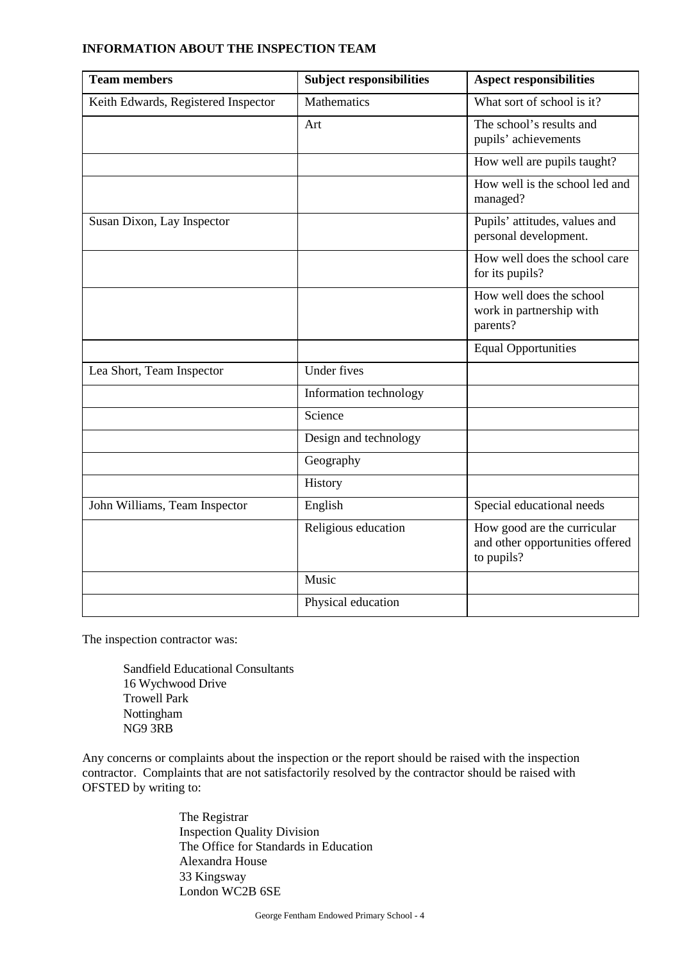| <b>Team members</b>                 | <b>Subject responsibilities</b> | <b>Aspect responsibilities</b>                                               |
|-------------------------------------|---------------------------------|------------------------------------------------------------------------------|
| Keith Edwards, Registered Inspector | Mathematics                     | What sort of school is it?                                                   |
|                                     | Art                             | The school's results and<br>pupils' achievements                             |
|                                     |                                 | How well are pupils taught?                                                  |
|                                     |                                 | How well is the school led and<br>managed?                                   |
| Susan Dixon, Lay Inspector          |                                 | Pupils' attitudes, values and<br>personal development.                       |
|                                     |                                 | How well does the school care<br>for its pupils?                             |
|                                     |                                 | How well does the school<br>work in partnership with<br>parents?             |
|                                     |                                 | <b>Equal Opportunities</b>                                                   |
| Lea Short, Team Inspector           | <b>Under fives</b>              |                                                                              |
|                                     | Information technology          |                                                                              |
|                                     | Science                         |                                                                              |
|                                     | Design and technology           |                                                                              |
|                                     | Geography                       |                                                                              |
|                                     | History                         |                                                                              |
| John Williams, Team Inspector       | English                         | Special educational needs                                                    |
|                                     | Religious education             | How good are the curricular<br>and other opportunities offered<br>to pupils? |
|                                     | Music                           |                                                                              |
|                                     | Physical education              |                                                                              |

### **INFORMATION ABOUT THE INSPECTION TEAM**

The inspection contractor was:

Sandfield Educational Consultants 16 Wychwood Drive Trowell Park Nottingham NG9 3RB

Any concerns or complaints about the inspection or the report should be raised with the inspection contractor. Complaints that are not satisfactorily resolved by the contractor should be raised with OFSTED by writing to:

> The Registrar Inspection Quality Division The Office for Standards in Education Alexandra House 33 Kingsway London WC2B 6SE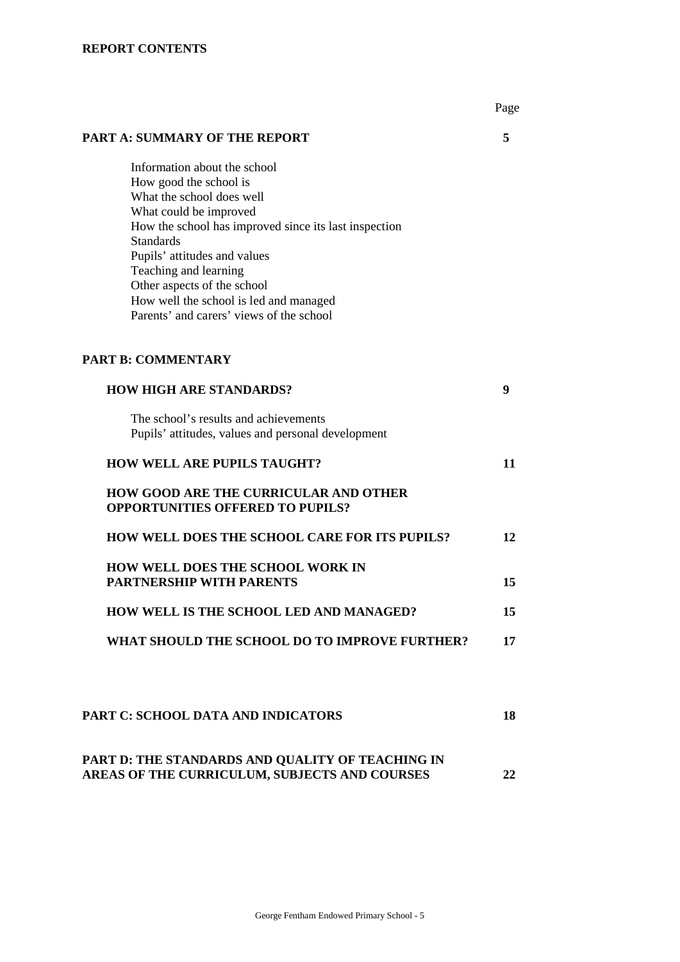# **REPORT CONTENTS**

|                                                                                                                                                                                                                                                                                                                                                                          | Page |
|--------------------------------------------------------------------------------------------------------------------------------------------------------------------------------------------------------------------------------------------------------------------------------------------------------------------------------------------------------------------------|------|
| <b>PART A: SUMMARY OF THE REPORT</b>                                                                                                                                                                                                                                                                                                                                     | 5    |
| Information about the school<br>How good the school is<br>What the school does well<br>What could be improved<br>How the school has improved since its last inspection<br><b>Standards</b><br>Pupils' attitudes and values<br>Teaching and learning<br>Other aspects of the school<br>How well the school is led and managed<br>Parents' and carers' views of the school |      |
| <b>PART B: COMMENTARY</b>                                                                                                                                                                                                                                                                                                                                                |      |
| <b>HOW HIGH ARE STANDARDS?</b>                                                                                                                                                                                                                                                                                                                                           | 9    |
| The school's results and achievements<br>Pupils' attitudes, values and personal development                                                                                                                                                                                                                                                                              |      |
| <b>HOW WELL ARE PUPILS TAUGHT?</b>                                                                                                                                                                                                                                                                                                                                       | 11   |
| HOW GOOD ARE THE CURRICULAR AND OTHER<br><b>OPPORTUNITIES OFFERED TO PUPILS?</b>                                                                                                                                                                                                                                                                                         |      |
| <b>HOW WELL DOES THE SCHOOL CARE FOR ITS PUPILS?</b>                                                                                                                                                                                                                                                                                                                     | 12   |
| HOW WELL DOES THE SCHOOL WORK IN<br><b>PARTNERSHIP WITH PARENTS</b>                                                                                                                                                                                                                                                                                                      | 15   |
| HOW WELL IS THE SCHOOL LED AND MANAGED?                                                                                                                                                                                                                                                                                                                                  | 15   |
| WHAT SHOULD THE SCHOOL DO TO IMPROVE FURTHER?                                                                                                                                                                                                                                                                                                                            | 17   |
| <b>PART C: SCHOOL DATA AND INDICATORS</b>                                                                                                                                                                                                                                                                                                                                | 18   |
| PART D: THE STANDARDS AND QUALITY OF TEACHING IN<br>AREAS OF THE CURRICULUM, SUBJECTS AND COURSES                                                                                                                                                                                                                                                                        | 22   |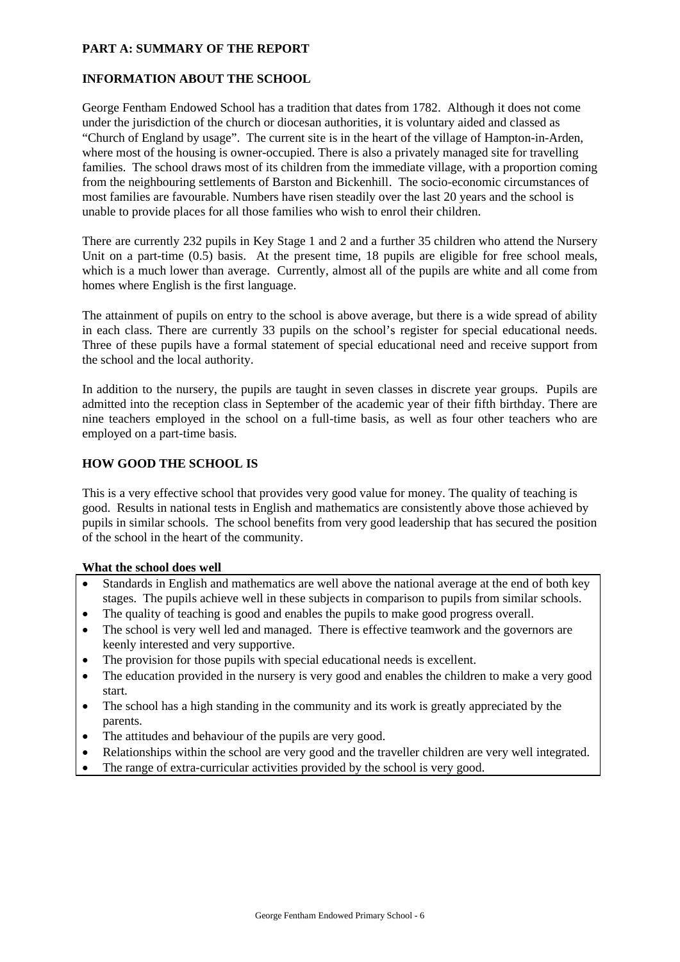# **PART A: SUMMARY OF THE REPORT**

# **INFORMATION ABOUT THE SCHOOL**

George Fentham Endowed School has a tradition that dates from 1782. Although it does not come under the jurisdiction of the church or diocesan authorities, it is voluntary aided and classed as "Church of England by usage". The current site is in the heart of the village of Hampton-in-Arden, where most of the housing is owner-occupied. There is also a privately managed site for travelling families. The school draws most of its children from the immediate village, with a proportion coming from the neighbouring settlements of Barston and Bickenhill. The socio-economic circumstances of most families are favourable. Numbers have risen steadily over the last 20 years and the school is unable to provide places for all those families who wish to enrol their children.

There are currently 232 pupils in Key Stage 1 and 2 and a further 35 children who attend the Nursery Unit on a part-time  $(0.5)$  basis. At the present time, 18 pupils are eligible for free school meals, which is a much lower than average. Currently, almost all of the pupils are white and all come from homes where English is the first language.

The attainment of pupils on entry to the school is above average, but there is a wide spread of ability in each class. There are currently 33 pupils on the school's register for special educational needs. Three of these pupils have a formal statement of special educational need and receive support from the school and the local authority.

In addition to the nursery, the pupils are taught in seven classes in discrete year groups. Pupils are admitted into the reception class in September of the academic year of their fifth birthday. There are nine teachers employed in the school on a full-time basis, as well as four other teachers who are employed on a part-time basis.

# **HOW GOOD THE SCHOOL IS**

This is a very effective school that provides very good value for money. The quality of teaching is good. Results in national tests in English and mathematics are consistently above those achieved by pupils in similar schools. The school benefits from very good leadership that has secured the position of the school in the heart of the community.

# **What the school does well**

- Standards in English and mathematics are well above the national average at the end of both key stages. The pupils achieve well in these subjects in comparison to pupils from similar schools.
- The quality of teaching is good and enables the pupils to make good progress overall.
- The school is very well led and managed. There is effective teamwork and the governors are keenly interested and very supportive.
- The provision for those pupils with special educational needs is excellent.
- The education provided in the nursery is very good and enables the children to make a very good start.
- The school has a high standing in the community and its work is greatly appreciated by the parents.
- The attitudes and behaviour of the pupils are very good.
- Relationships within the school are very good and the traveller children are very well integrated.
- The range of extra-curricular activities provided by the school is very good.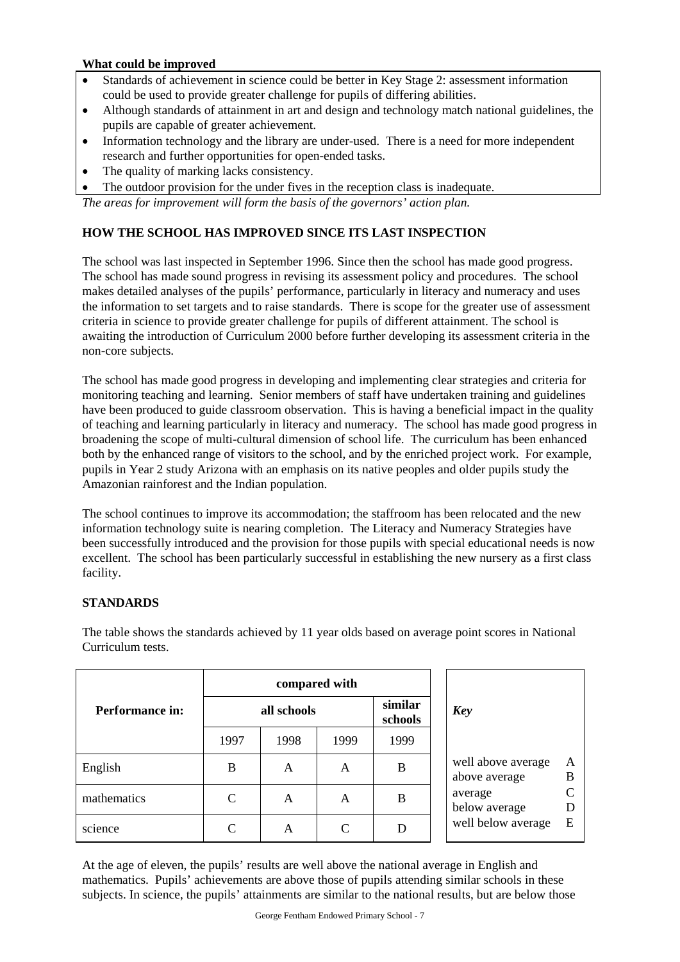# **What could be improved**

- Standards of achievement in science could be better in Key Stage 2: assessment information could be used to provide greater challenge for pupils of differing abilities.
- Although standards of attainment in art and design and technology match national guidelines, the pupils are capable of greater achievement.
- Information technology and the library are under-used. There is a need for more independent research and further opportunities for open-ended tasks.
- The quality of marking lacks consistency.
- The outdoor provision for the under fives in the reception class is inadequate.

*The areas for improvement will form the basis of the governors' action plan.*

# **HOW THE SCHOOL HAS IMPROVED SINCE ITS LAST INSPECTION**

The school was last inspected in September 1996. Since then the school has made good progress. The school has made sound progress in revising its assessment policy and procedures. The school makes detailed analyses of the pupils' performance, particularly in literacy and numeracy and uses the information to set targets and to raise standards. There is scope for the greater use of assessment criteria in science to provide greater challenge for pupils of different attainment. The school is awaiting the introduction of Curriculum 2000 before further developing its assessment criteria in the non-core subjects.

The school has made good progress in developing and implementing clear strategies and criteria for monitoring teaching and learning. Senior members of staff have undertaken training and guidelines have been produced to guide classroom observation. This is having a beneficial impact in the quality of teaching and learning particularly in literacy and numeracy. The school has made good progress in broadening the scope of multi-cultural dimension of school life. The curriculum has been enhanced both by the enhanced range of visitors to the school, and by the enriched project work. For example, pupils in Year 2 study Arizona with an emphasis on its native peoples and older pupils study the Amazonian rainforest and the Indian population.

The school continues to improve its accommodation; the staffroom has been relocated and the new information technology suite is nearing completion. The Literacy and Numeracy Strategies have been successfully introduced and the provision for those pupils with special educational needs is now excellent. The school has been particularly successful in establishing the new nursery as a first class facility.

# **STANDARDS**

|                 |      |             | compared with                    |      |                                               |
|-----------------|------|-------------|----------------------------------|------|-----------------------------------------------|
| Performance in: |      | all schools | similar<br><b>Key</b><br>schools |      |                                               |
|                 | 1997 | 1998        | 1999                             | 1999 |                                               |
| English         | B    | A           | A                                | B    | well above average<br>A<br>B<br>above average |
| mathematics     | C    | A           | A                                | B    | C<br>average<br>below average<br>D            |
| science         | C    | A           | C                                | D    | well below average<br>E                       |

The table shows the standards achieved by 11 year olds based on average point scores in National Curriculum tests.

At the age of eleven, the pupils' results are well above the national average in English and mathematics. Pupils' achievements are above those of pupils attending similar schools in these subjects. In science, the pupils' attainments are similar to the national results, but are below those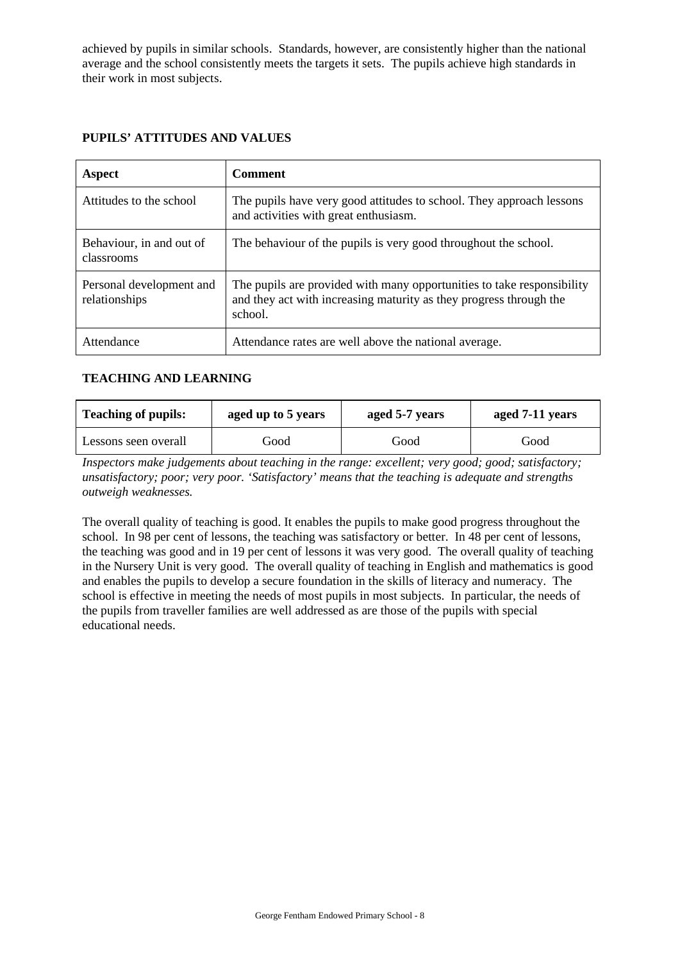achieved by pupils in similar schools. Standards, however, are consistently higher than the national average and the school consistently meets the targets it sets. The pupils achieve high standards in their work in most subjects.

| Aspect                                    | <b>Comment</b>                                                                                                                                          |
|-------------------------------------------|---------------------------------------------------------------------------------------------------------------------------------------------------------|
| Attitudes to the school                   | The pupils have very good attitudes to school. They approach lessons<br>and activities with great enthusiasm.                                           |
| Behaviour, in and out of<br>classrooms    | The behaviour of the pupils is very good throughout the school.                                                                                         |
| Personal development and<br>relationships | The pupils are provided with many opportunities to take responsibility<br>and they act with increasing maturity as they progress through the<br>school. |
| Attendance                                | Attendance rates are well above the national average.                                                                                                   |

# **PUPILS' ATTITUDES AND VALUES**

# **TEACHING AND LEARNING**

| <b>Teaching of pupils:</b><br>aged up to 5 years |      | aged 5-7 years | aged 7-11 years |  |
|--------------------------------------------------|------|----------------|-----------------|--|
| Lessons seen overall                             | Good | Good           | Good            |  |

*Inspectors make judgements about teaching in the range: excellent; very good; good; satisfactory; unsatisfactory; poor; very poor. 'Satisfactory' means that the teaching is adequate and strengths outweigh weaknesses.*

The overall quality of teaching is good. It enables the pupils to make good progress throughout the school. In 98 per cent of lessons, the teaching was satisfactory or better. In 48 per cent of lessons, the teaching was good and in 19 per cent of lessons it was very good. The overall quality of teaching in the Nursery Unit is very good. The overall quality of teaching in English and mathematics is good and enables the pupils to develop a secure foundation in the skills of literacy and numeracy. The school is effective in meeting the needs of most pupils in most subjects. In particular, the needs of the pupils from traveller families are well addressed as are those of the pupils with special educational needs.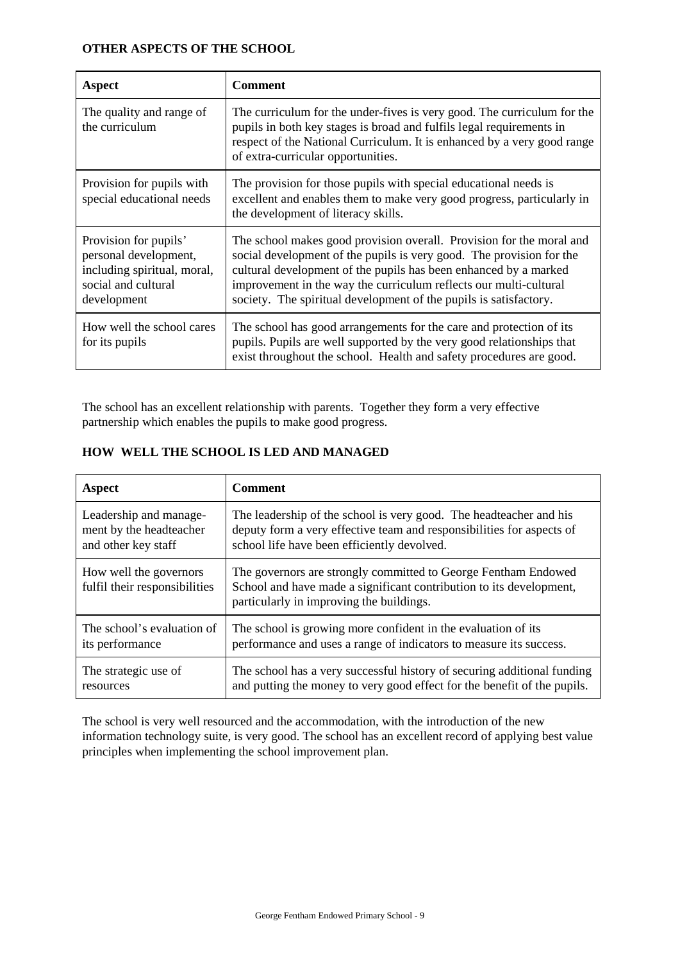# **OTHER ASPECTS OF THE SCHOOL**

| Aspect                                                                                                              | <b>Comment</b>                                                                                                                                                                                                                                                                                                                                             |
|---------------------------------------------------------------------------------------------------------------------|------------------------------------------------------------------------------------------------------------------------------------------------------------------------------------------------------------------------------------------------------------------------------------------------------------------------------------------------------------|
| The quality and range of<br>the curriculum                                                                          | The curriculum for the under-fives is very good. The curriculum for the<br>pupils in both key stages is broad and fulfils legal requirements in<br>respect of the National Curriculum. It is enhanced by a very good range<br>of extra-curricular opportunities.                                                                                           |
| Provision for pupils with<br>special educational needs                                                              | The provision for those pupils with special educational needs is<br>excellent and enables them to make very good progress, particularly in<br>the development of literacy skills.                                                                                                                                                                          |
| Provision for pupils'<br>personal development,<br>including spiritual, moral,<br>social and cultural<br>development | The school makes good provision overall. Provision for the moral and<br>social development of the pupils is very good. The provision for the<br>cultural development of the pupils has been enhanced by a marked<br>improvement in the way the curriculum reflects our multi-cultural<br>society. The spiritual development of the pupils is satisfactory. |
| How well the school cares<br>for its pupils                                                                         | The school has good arrangements for the care and protection of its<br>pupils. Pupils are well supported by the very good relationships that<br>exist throughout the school. Health and safety procedures are good.                                                                                                                                        |

The school has an excellent relationship with parents. Together they form a very effective partnership which enables the pupils to make good progress.

| Aspect                                                  | <b>Comment</b>                                                                                                                                                                    |
|---------------------------------------------------------|-----------------------------------------------------------------------------------------------------------------------------------------------------------------------------------|
| Leadership and manage-                                  | The leadership of the school is very good. The headteacher and his                                                                                                                |
| ment by the headteacher                                 | deputy form a very effective team and responsibilities for aspects of                                                                                                             |
| and other key staff                                     | school life have been efficiently devolved.                                                                                                                                       |
| How well the governors<br>fulfil their responsibilities | The governors are strongly committed to George Fentham Endowed<br>School and have made a significant contribution to its development,<br>particularly in improving the buildings. |
| The school's evaluation of                              | The school is growing more confident in the evaluation of its                                                                                                                     |
| its performance                                         | performance and uses a range of indicators to measure its success.                                                                                                                |
| The strategic use of                                    | The school has a very successful history of securing additional funding                                                                                                           |
| resources                                               | and putting the money to very good effect for the benefit of the pupils.                                                                                                          |

# **HOW WELL THE SCHOOL IS LED AND MANAGED**

The school is very well resourced and the accommodation, with the introduction of the new information technology suite, is very good. The school has an excellent record of applying best value principles when implementing the school improvement plan.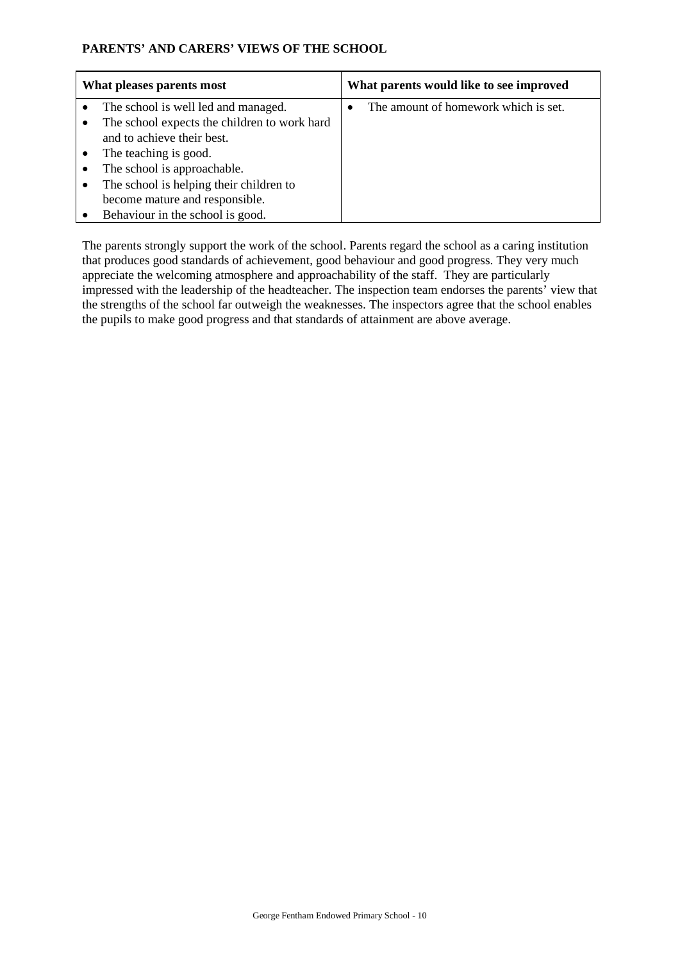# **PARENTS' AND CARERS' VIEWS OF THE SCHOOL**

| What pleases parents most                    | What parents would like to see improved |
|----------------------------------------------|-----------------------------------------|
| The school is well led and managed.          | The amount of homework which is set.    |
| The school expects the children to work hard |                                         |
| and to achieve their best.                   |                                         |
| The teaching is good.                        |                                         |
| The school is approachable.                  |                                         |
| The school is helping their children to      |                                         |
| become mature and responsible.               |                                         |
| Behaviour in the school is good.             |                                         |

The parents strongly support the work of the school. Parents regard the school as a caring institution that produces good standards of achievement, good behaviour and good progress. They very much appreciate the welcoming atmosphere and approachability of the staff. They are particularly impressed with the leadership of the headteacher. The inspection team endorses the parents' view that the strengths of the school far outweigh the weaknesses. The inspectors agree that the school enables the pupils to make good progress and that standards of attainment are above average.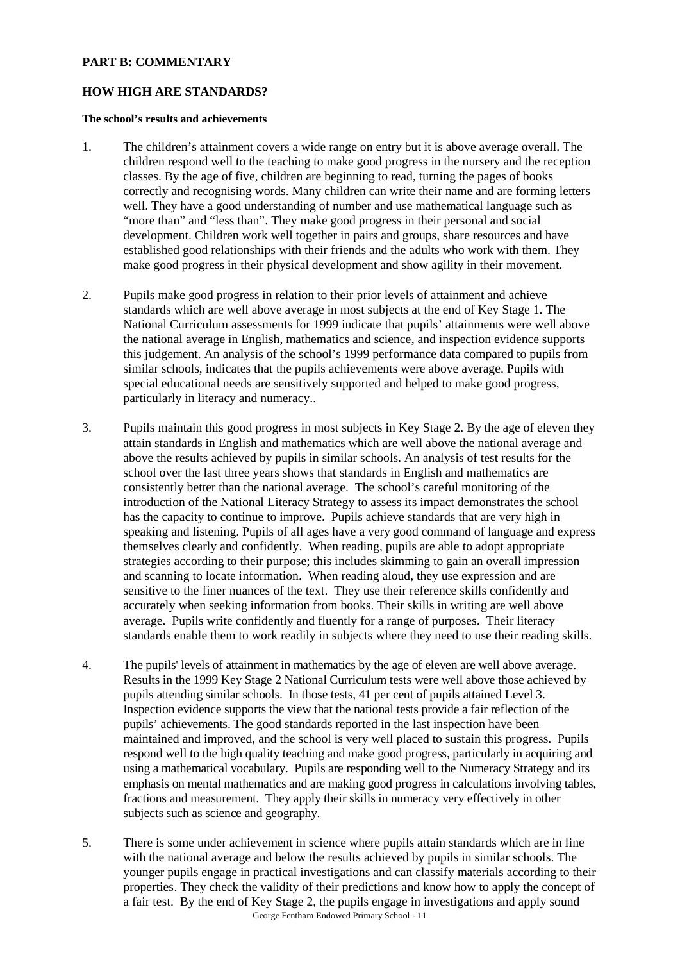# **PART B: COMMENTARY**

## **HOW HIGH ARE STANDARDS?**

### **The school's results and achievements**

- 1. The children's attainment covers a wide range on entry but it is above average overall. The children respond well to the teaching to make good progress in the nursery and the reception classes. By the age of five, children are beginning to read, turning the pages of books correctly and recognising words. Many children can write their name and are forming letters well. They have a good understanding of number and use mathematical language such as "more than" and "less than". They make good progress in their personal and social development. Children work well together in pairs and groups, share resources and have established good relationships with their friends and the adults who work with them. They make good progress in their physical development and show agility in their movement.
- 2. Pupils make good progress in relation to their prior levels of attainment and achieve standards which are well above average in most subjects at the end of Key Stage 1. The National Curriculum assessments for 1999 indicate that pupils' attainments were well above the national average in English, mathematics and science, and inspection evidence supports this judgement. An analysis of the school's 1999 performance data compared to pupils from similar schools, indicates that the pupils achievements were above average. Pupils with special educational needs are sensitively supported and helped to make good progress, particularly in literacy and numeracy..
- 3. Pupils maintain this good progress in most subjects in Key Stage 2. By the age of eleven they attain standards in English and mathematics which are well above the national average and above the results achieved by pupils in similar schools. An analysis of test results for the school over the last three years shows that standards in English and mathematics are consistently better than the national average. The school's careful monitoring of the introduction of the National Literacy Strategy to assess its impact demonstrates the school has the capacity to continue to improve. Pupils achieve standards that are very high in speaking and listening. Pupils of all ages have a very good command of language and express themselves clearly and confidently. When reading, pupils are able to adopt appropriate strategies according to their purpose; this includes skimming to gain an overall impression and scanning to locate information. When reading aloud, they use expression and are sensitive to the finer nuances of the text. They use their reference skills confidently and accurately when seeking information from books. Their skills in writing are well above average. Pupils write confidently and fluently for a range of purposes. Their literacy standards enable them to work readily in subjects where they need to use their reading skills.
- 4. The pupils' levels of attainment in mathematics by the age of eleven are well above average. Results in the 1999 Key Stage 2 National Curriculum tests were well above those achieved by pupils attending similar schools. In those tests, 41 per cent of pupils attained Level 3. Inspection evidence supports the view that the national tests provide a fair reflection of the pupils' achievements. The good standards reported in the last inspection have been maintained and improved, and the school is very well placed to sustain this progress. Pupils respond well to the high quality teaching and make good progress, particularly in acquiring and using a mathematical vocabulary. Pupils are responding well to the Numeracy Strategy and its emphasis on mental mathematics and are making good progress in calculations involving tables, fractions and measurement. They apply their skills in numeracy very effectively in other subjects such as science and geography.
- George Fentham Endowed Primary School 11 5. There is some under achievement in science where pupils attain standards which are in line with the national average and below the results achieved by pupils in similar schools. The younger pupils engage in practical investigations and can classify materials according to their properties. They check the validity of their predictions and know how to apply the concept of a fair test. By the end of Key Stage 2, the pupils engage in investigations and apply sound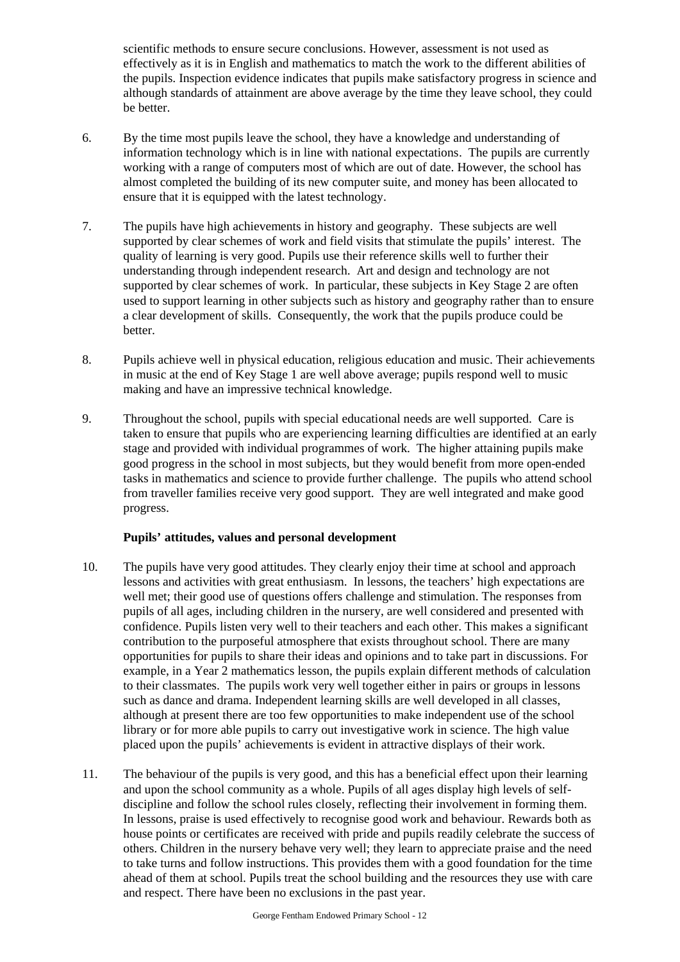scientific methods to ensure secure conclusions. However, assessment is not used as effectively as it is in English and mathematics to match the work to the different abilities of the pupils. Inspection evidence indicates that pupils make satisfactory progress in science and although standards of attainment are above average by the time they leave school, they could be better.

- 6. By the time most pupils leave the school, they have a knowledge and understanding of information technology which is in line with national expectations. The pupils are currently working with a range of computers most of which are out of date. However, the school has almost completed the building of its new computer suite, and money has been allocated to ensure that it is equipped with the latest technology.
- 7. The pupils have high achievements in history and geography. These subjects are well supported by clear schemes of work and field visits that stimulate the pupils' interest. The quality of learning is very good. Pupils use their reference skills well to further their understanding through independent research. Art and design and technology are not supported by clear schemes of work. In particular, these subjects in Key Stage 2 are often used to support learning in other subjects such as history and geography rather than to ensure a clear development of skills. Consequently, the work that the pupils produce could be better.
- 8. Pupils achieve well in physical education, religious education and music. Their achievements in music at the end of Key Stage 1 are well above average; pupils respond well to music making and have an impressive technical knowledge.
- 9. Throughout the school, pupils with special educational needs are well supported. Care is taken to ensure that pupils who are experiencing learning difficulties are identified at an early stage and provided with individual programmes of work. The higher attaining pupils make good progress in the school in most subjects, but they would benefit from more open-ended tasks in mathematics and science to provide further challenge. The pupils who attend school from traveller families receive very good support. They are well integrated and make good progress.

# **Pupils' attitudes, values and personal development**

- 10. The pupils have very good attitudes. They clearly enjoy their time at school and approach lessons and activities with great enthusiasm. In lessons, the teachers' high expectations are well met; their good use of questions offers challenge and stimulation. The responses from pupils of all ages, including children in the nursery, are well considered and presented with confidence. Pupils listen very well to their teachers and each other. This makes a significant contribution to the purposeful atmosphere that exists throughout school. There are many opportunities for pupils to share their ideas and opinions and to take part in discussions. For example, in a Year 2 mathematics lesson, the pupils explain different methods of calculation to their classmates. The pupils work very well together either in pairs or groups in lessons such as dance and drama. Independent learning skills are well developed in all classes, although at present there are too few opportunities to make independent use of the school library or for more able pupils to carry out investigative work in science. The high value placed upon the pupils' achievements is evident in attractive displays of their work.
- 11. The behaviour of the pupils is very good, and this has a beneficial effect upon their learning and upon the school community as a whole. Pupils of all ages display high levels of selfdiscipline and follow the school rules closely, reflecting their involvement in forming them. In lessons, praise is used effectively to recognise good work and behaviour. Rewards both as house points or certificates are received with pride and pupils readily celebrate the success of others. Children in the nursery behave very well; they learn to appreciate praise and the need to take turns and follow instructions. This provides them with a good foundation for the time ahead of them at school. Pupils treat the school building and the resources they use with care and respect. There have been no exclusions in the past year.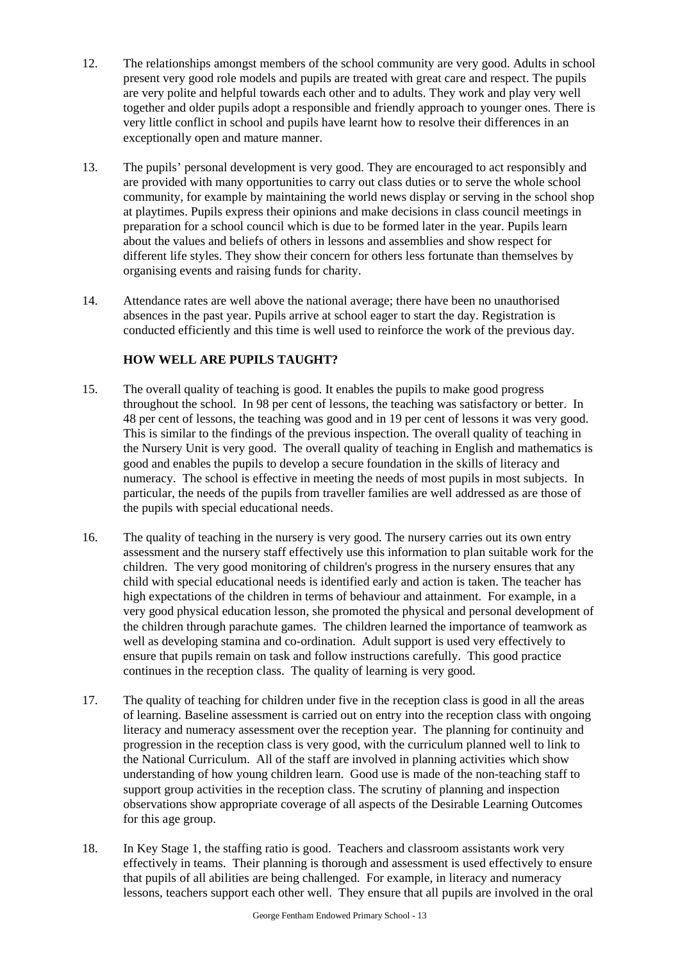- 12. The relationships amongst members of the school community are very good. Adults in school present very good role models and pupils are treated with great care and respect. The pupils are very polite and helpful towards each other and to adults. They work and play very well together and older pupils adopt a responsible and friendly approach to younger ones. There is very little conflict in school and pupils have learnt how to resolve their differences in an exceptionally open and mature manner.
- 13. The pupils' personal development is very good. They are encouraged to act responsibly and are provided with many opportunities to carry out class duties or to serve the whole school community, for example by maintaining the world news display or serving in the school shop at playtimes. Pupils express their opinions and make decisions in class council meetings in preparation for a school council which is due to be formed later in the year. Pupils learn about the values and beliefs of others in lessons and assemblies and show respect for different life styles. They show their concern for others less fortunate than themselves by organising events and raising funds for charity.
- 14. Attendance rates are well above the national average; there have been no unauthorised absences in the past year. Pupils arrive at school eager to start the day. Registration is conducted efficiently and this time is well used to reinforce the work of the previous day.

# **HOW WELL ARE PUPILS TAUGHT?**

- 15. The overall quality of teaching is good. It enables the pupils to make good progress throughout the school. In 98 per cent of lessons, the teaching was satisfactory or better. In 48 per cent of lessons, the teaching was good and in 19 per cent of lessons it was very good. This is similar to the findings of the previous inspection. The overall quality of teaching in the Nursery Unit is very good. The overall quality of teaching in English and mathematics is good and enables the pupils to develop a secure foundation in the skills of literacy and numeracy. The school is effective in meeting the needs of most pupils in most subjects. In particular, the needs of the pupils from traveller families are well addressed as are those of the pupils with special educational needs.
- 16. The quality of teaching in the nursery is very good. The nursery carries out its own entry assessment and the nursery staff effectively use this information to plan suitable work for the children. The very good monitoring of children's progress in the nursery ensures that any child with special educational needs is identified early and action is taken. The teacher has high expectations of the children in terms of behaviour and attainment. For example, in a very good physical education lesson, she promoted the physical and personal development of the children through parachute games. The children learned the importance of teamwork as well as developing stamina and co-ordination. Adult support is used very effectively to ensure that pupils remain on task and follow instructions carefully. This good practice continues in the reception class. The quality of learning is very good.
- 17. The quality of teaching for children under five in the reception class is good in all the areas of learning. Baseline assessment is carried out on entry into the reception class with ongoing literacy and numeracy assessment over the reception year. The planning for continuity and progression in the reception class is very good, with the curriculum planned well to link to the National Curriculum. All of the staff are involved in planning activities which show understanding of how young children learn. Good use is made of the non-teaching staff to support group activities in the reception class. The scrutiny of planning and inspection observations show appropriate coverage of all aspects of the Desirable Learning Outcomes for this age group.
- 18. In Key Stage 1, the staffing ratio is good. Teachers and classroom assistants work very effectively in teams. Their planning is thorough and assessment is used effectively to ensure that pupils of all abilities are being challenged. For example, in literacy and numeracy lessons, teachers support each other well. They ensure that all pupils are involved in the oral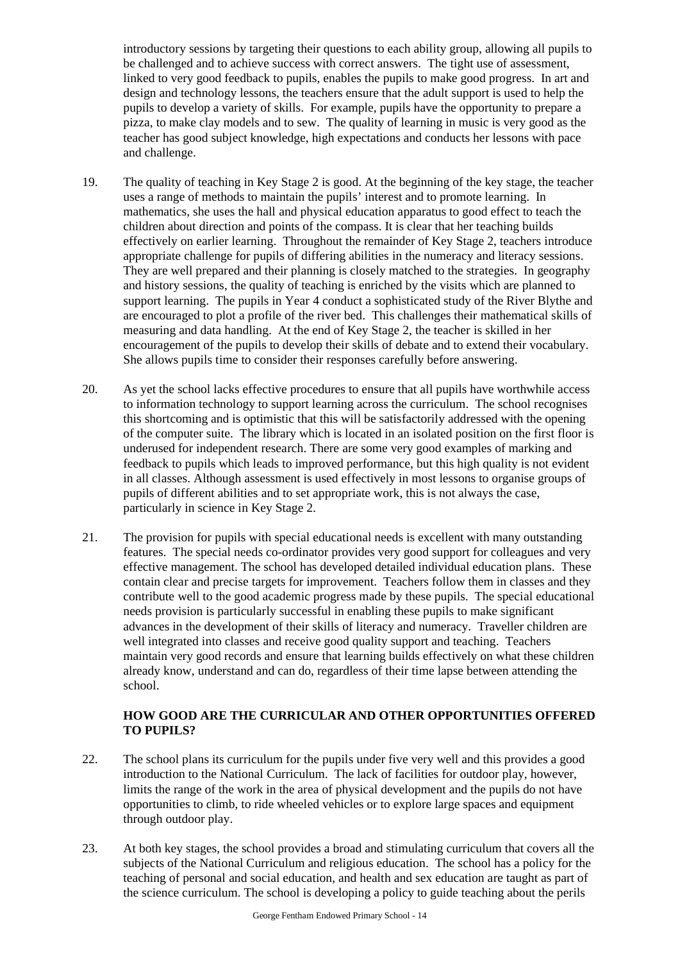introductory sessions by targeting their questions to each ability group, allowing all pupils to be challenged and to achieve success with correct answers. The tight use of assessment, linked to very good feedback to pupils, enables the pupils to make good progress. In art and design and technology lessons, the teachers ensure that the adult support is used to help the pupils to develop a variety of skills. For example, pupils have the opportunity to prepare a pizza, to make clay models and to sew. The quality of learning in music is very good as the teacher has good subject knowledge, high expectations and conducts her lessons with pace and challenge.

- 19. The quality of teaching in Key Stage 2 is good. At the beginning of the key stage, the teacher uses a range of methods to maintain the pupils' interest and to promote learning. In mathematics, she uses the hall and physical education apparatus to good effect to teach the children about direction and points of the compass. It is clear that her teaching builds effectively on earlier learning. Throughout the remainder of Key Stage 2, teachers introduce appropriate challenge for pupils of differing abilities in the numeracy and literacy sessions. They are well prepared and their planning is closely matched to the strategies. In geography and history sessions, the quality of teaching is enriched by the visits which are planned to support learning. The pupils in Year 4 conduct a sophisticated study of the River Blythe and are encouraged to plot a profile of the river bed. This challenges their mathematical skills of measuring and data handling. At the end of Key Stage 2, the teacher is skilled in her encouragement of the pupils to develop their skills of debate and to extend their vocabulary. She allows pupils time to consider their responses carefully before answering.
- 20. As yet the school lacks effective procedures to ensure that all pupils have worthwhile access to information technology to support learning across the curriculum. The school recognises this shortcoming and is optimistic that this will be satisfactorily addressed with the opening of the computer suite. The library which is located in an isolated position on the first floor is underused for independent research. There are some very good examples of marking and feedback to pupils which leads to improved performance, but this high quality is not evident in all classes. Although assessment is used effectively in most lessons to organise groups of pupils of different abilities and to set appropriate work, this is not always the case, particularly in science in Key Stage 2.
- 21. The provision for pupils with special educational needs is excellent with many outstanding features. The special needs co-ordinator provides very good support for colleagues and very effective management. The school has developed detailed individual education plans. These contain clear and precise targets for improvement. Teachers follow them in classes and they contribute well to the good academic progress made by these pupils. The special educational needs provision is particularly successful in enabling these pupils to make significant advances in the development of their skills of literacy and numeracy. Traveller children are well integrated into classes and receive good quality support and teaching. Teachers maintain very good records and ensure that learning builds effectively on what these children already know, understand and can do, regardless of their time lapse between attending the school.

# **HOW GOOD ARE THE CURRICULAR AND OTHER OPPORTUNITIES OFFERED TO PUPILS?**

- 22. The school plans its curriculum for the pupils under five very well and this provides a good introduction to the National Curriculum. The lack of facilities for outdoor play, however, limits the range of the work in the area of physical development and the pupils do not have opportunities to climb, to ride wheeled vehicles or to explore large spaces and equipment through outdoor play.
- 23. At both key stages, the school provides a broad and stimulating curriculum that covers all the subjects of the National Curriculum and religious education. The school has a policy for the teaching of personal and social education, and health and sex education are taught as part of the science curriculum. The school is developing a policy to guide teaching about the perils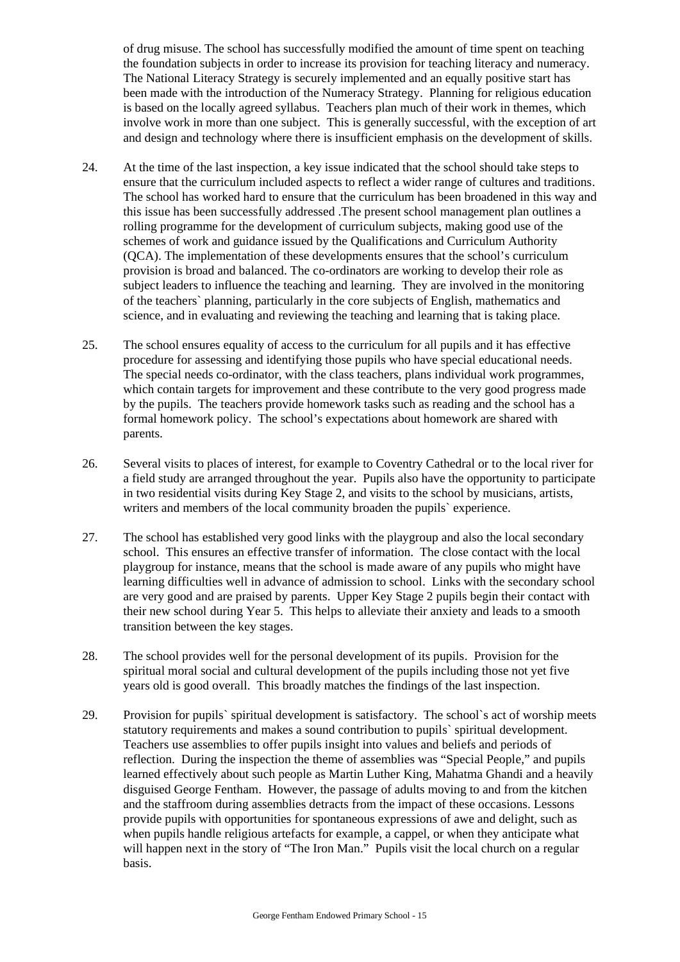of drug misuse. The school has successfully modified the amount of time spent on teaching the foundation subjects in order to increase its provision for teaching literacy and numeracy. The National Literacy Strategy is securely implemented and an equally positive start has been made with the introduction of the Numeracy Strategy. Planning for religious education is based on the locally agreed syllabus. Teachers plan much of their work in themes, which involve work in more than one subject. This is generally successful, with the exception of art and design and technology where there is insufficient emphasis on the development of skills.

- 24. At the time of the last inspection, a key issue indicated that the school should take steps to ensure that the curriculum included aspects to reflect a wider range of cultures and traditions. The school has worked hard to ensure that the curriculum has been broadened in this way and this issue has been successfully addressed .The present school management plan outlines a rolling programme for the development of curriculum subjects, making good use of the schemes of work and guidance issued by the Qualifications and Curriculum Authority (QCA). The implementation of these developments ensures that the school's curriculum provision is broad and balanced. The co-ordinators are working to develop their role as subject leaders to influence the teaching and learning. They are involved in the monitoring of the teachers` planning, particularly in the core subjects of English, mathematics and science, and in evaluating and reviewing the teaching and learning that is taking place.
- 25. The school ensures equality of access to the curriculum for all pupils and it has effective procedure for assessing and identifying those pupils who have special educational needs. The special needs co-ordinator, with the class teachers, plans individual work programmes, which contain targets for improvement and these contribute to the very good progress made by the pupils. The teachers provide homework tasks such as reading and the school has a formal homework policy. The school's expectations about homework are shared with parents.
- 26. Several visits to places of interest, for example to Coventry Cathedral or to the local river for a field study are arranged throughout the year. Pupils also have the opportunity to participate in two residential visits during Key Stage 2, and visits to the school by musicians, artists, writers and members of the local community broaden the pupils` experience.
- 27. The school has established very good links with the playgroup and also the local secondary school. This ensures an effective transfer of information. The close contact with the local playgroup for instance, means that the school is made aware of any pupils who might have learning difficulties well in advance of admission to school. Links with the secondary school are very good and are praised by parents. Upper Key Stage 2 pupils begin their contact with their new school during Year 5. This helps to alleviate their anxiety and leads to a smooth transition between the key stages.
- 28. The school provides well for the personal development of its pupils. Provision for the spiritual moral social and cultural development of the pupils including those not yet five years old is good overall. This broadly matches the findings of the last inspection.
- 29. Provision for pupils` spiritual development is satisfactory. The school`s act of worship meets statutory requirements and makes a sound contribution to pupils` spiritual development. Teachers use assemblies to offer pupils insight into values and beliefs and periods of reflection. During the inspection the theme of assemblies was "Special People," and pupils learned effectively about such people as Martin Luther King, Mahatma Ghandi and a heavily disguised George Fentham. However, the passage of adults moving to and from the kitchen and the staffroom during assemblies detracts from the impact of these occasions. Lessons provide pupils with opportunities for spontaneous expressions of awe and delight, such as when pupils handle religious artefacts for example, a cappel, or when they anticipate what will happen next in the story of "The Iron Man." Pupils visit the local church on a regular basis.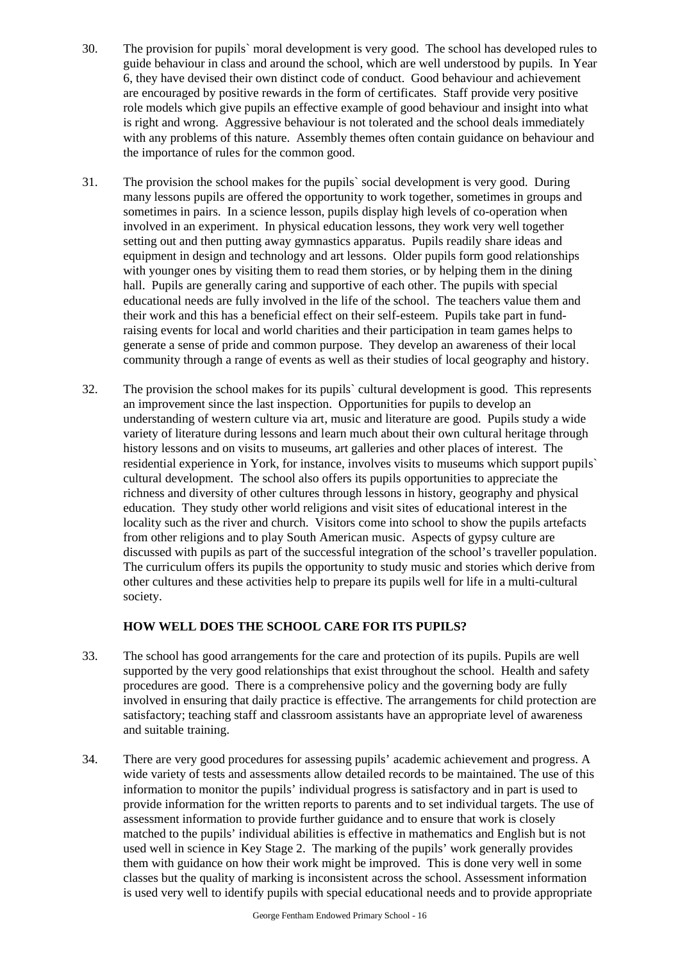- 30. The provision for pupils` moral development is very good. The school has developed rules to guide behaviour in class and around the school, which are well understood by pupils. In Year 6, they have devised their own distinct code of conduct. Good behaviour and achievement are encouraged by positive rewards in the form of certificates. Staff provide very positive role models which give pupils an effective example of good behaviour and insight into what is right and wrong. Aggressive behaviour is not tolerated and the school deals immediately with any problems of this nature. Assembly themes often contain guidance on behaviour and the importance of rules for the common good.
- 31. The provision the school makes for the pupils` social development is very good. During many lessons pupils are offered the opportunity to work together, sometimes in groups and sometimes in pairs. In a science lesson, pupils display high levels of co-operation when involved in an experiment. In physical education lessons, they work very well together setting out and then putting away gymnastics apparatus. Pupils readily share ideas and equipment in design and technology and art lessons. Older pupils form good relationships with younger ones by visiting them to read them stories, or by helping them in the dining hall. Pupils are generally caring and supportive of each other. The pupils with special educational needs are fully involved in the life of the school. The teachers value them and their work and this has a beneficial effect on their self-esteem. Pupils take part in fundraising events for local and world charities and their participation in team games helps to generate a sense of pride and common purpose. They develop an awareness of their local community through a range of events as well as their studies of local geography and history.
- 32. The provision the school makes for its pupils` cultural development is good. This represents an improvement since the last inspection. Opportunities for pupils to develop an understanding of western culture via art, music and literature are good. Pupils study a wide variety of literature during lessons and learn much about their own cultural heritage through history lessons and on visits to museums, art galleries and other places of interest. The residential experience in York, for instance, involves visits to museums which support pupils` cultural development. The school also offers its pupils opportunities to appreciate the richness and diversity of other cultures through lessons in history, geography and physical education. They study other world religions and visit sites of educational interest in the locality such as the river and church. Visitors come into school to show the pupils artefacts from other religions and to play South American music. Aspects of gypsy culture are discussed with pupils as part of the successful integration of the school's traveller population. The curriculum offers its pupils the opportunity to study music and stories which derive from other cultures and these activities help to prepare its pupils well for life in a multi-cultural society.

# **HOW WELL DOES THE SCHOOL CARE FOR ITS PUPILS?**

- 33. The school has good arrangements for the care and protection of its pupils. Pupils are well supported by the very good relationships that exist throughout the school. Health and safety procedures are good. There is a comprehensive policy and the governing body are fully involved in ensuring that daily practice is effective. The arrangements for child protection are satisfactory; teaching staff and classroom assistants have an appropriate level of awareness and suitable training.
- 34. There are very good procedures for assessing pupils' academic achievement and progress. A wide variety of tests and assessments allow detailed records to be maintained. The use of this information to monitor the pupils' individual progress is satisfactory and in part is used to provide information for the written reports to parents and to set individual targets. The use of assessment information to provide further guidance and to ensure that work is closely matched to the pupils' individual abilities is effective in mathematics and English but is not used well in science in Key Stage 2. The marking of the pupils' work generally provides them with guidance on how their work might be improved. This is done very well in some classes but the quality of marking is inconsistent across the school. Assessment information is used very well to identify pupils with special educational needs and to provide appropriate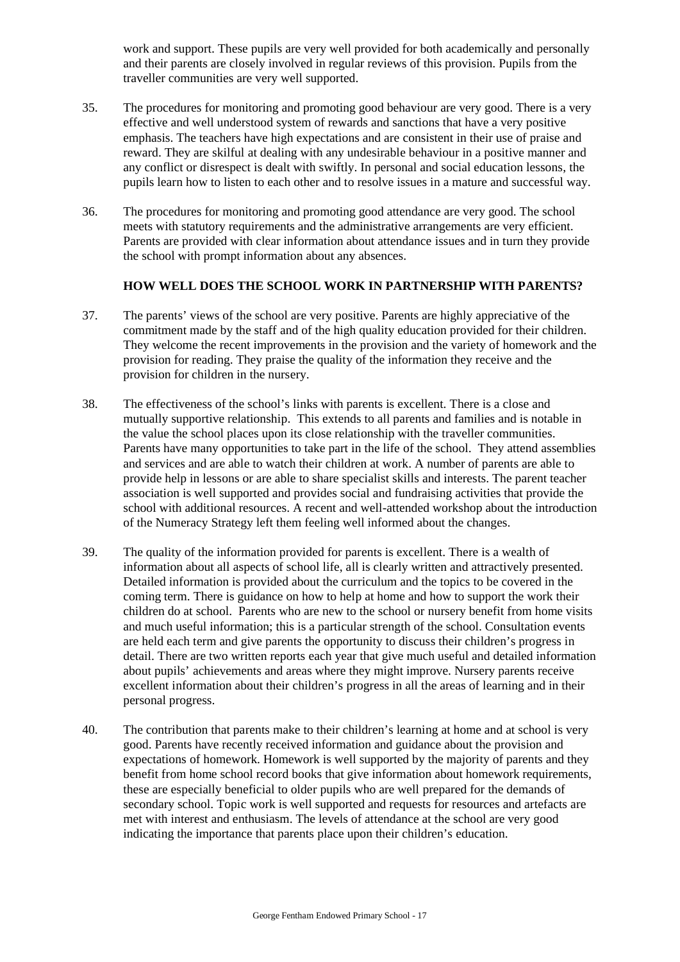work and support. These pupils are very well provided for both academically and personally and their parents are closely involved in regular reviews of this provision. Pupils from the traveller communities are very well supported.

- 35. The procedures for monitoring and promoting good behaviour are very good. There is a very effective and well understood system of rewards and sanctions that have a very positive emphasis. The teachers have high expectations and are consistent in their use of praise and reward. They are skilful at dealing with any undesirable behaviour in a positive manner and any conflict or disrespect is dealt with swiftly. In personal and social education lessons, the pupils learn how to listen to each other and to resolve issues in a mature and successful way.
- 36. The procedures for monitoring and promoting good attendance are very good. The school meets with statutory requirements and the administrative arrangements are very efficient. Parents are provided with clear information about attendance issues and in turn they provide the school with prompt information about any absences.

# **HOW WELL DOES THE SCHOOL WORK IN PARTNERSHIP WITH PARENTS?**

- 37. The parents' views of the school are very positive. Parents are highly appreciative of the commitment made by the staff and of the high quality education provided for their children. They welcome the recent improvements in the provision and the variety of homework and the provision for reading. They praise the quality of the information they receive and the provision for children in the nursery.
- 38. The effectiveness of the school's links with parents is excellent. There is a close and mutually supportive relationship. This extends to all parents and families and is notable in the value the school places upon its close relationship with the traveller communities. Parents have many opportunities to take part in the life of the school. They attend assemblies and services and are able to watch their children at work. A number of parents are able to provide help in lessons or are able to share specialist skills and interests. The parent teacher association is well supported and provides social and fundraising activities that provide the school with additional resources. A recent and well-attended workshop about the introduction of the Numeracy Strategy left them feeling well informed about the changes.
- 39. The quality of the information provided for parents is excellent. There is a wealth of information about all aspects of school life, all is clearly written and attractively presented. Detailed information is provided about the curriculum and the topics to be covered in the coming term. There is guidance on how to help at home and how to support the work their children do at school. Parents who are new to the school or nursery benefit from home visits and much useful information; this is a particular strength of the school. Consultation events are held each term and give parents the opportunity to discuss their children's progress in detail. There are two written reports each year that give much useful and detailed information about pupils' achievements and areas where they might improve. Nursery parents receive excellent information about their children's progress in all the areas of learning and in their personal progress.
- 40. The contribution that parents make to their children's learning at home and at school is very good. Parents have recently received information and guidance about the provision and expectations of homework. Homework is well supported by the majority of parents and they benefit from home school record books that give information about homework requirements, these are especially beneficial to older pupils who are well prepared for the demands of secondary school. Topic work is well supported and requests for resources and artefacts are met with interest and enthusiasm. The levels of attendance at the school are very good indicating the importance that parents place upon their children's education.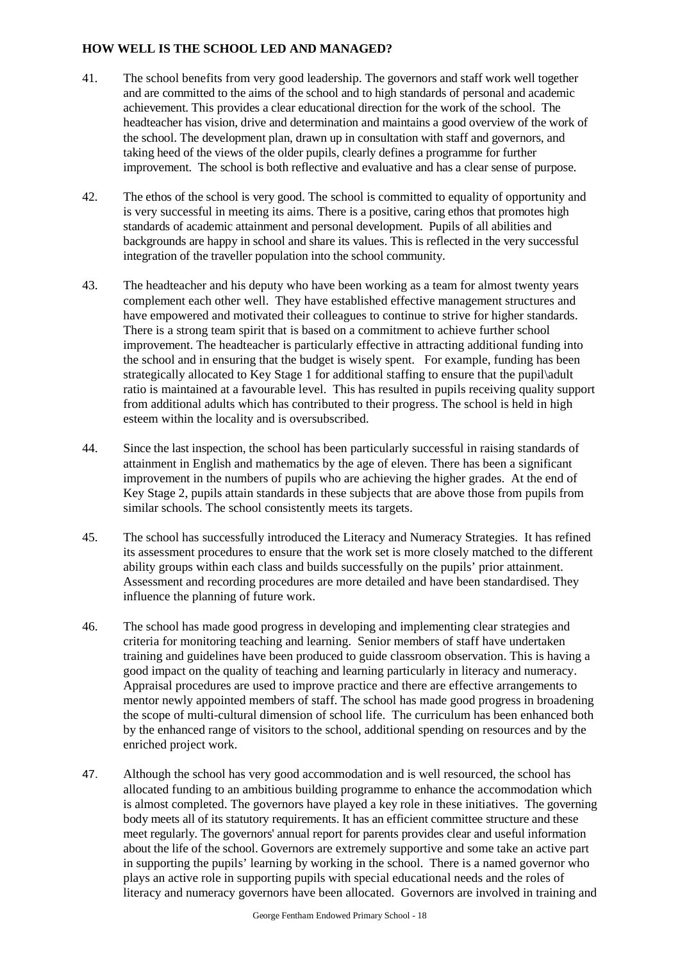# **HOW WELL IS THE SCHOOL LED AND MANAGED?**

- 41. The school benefits from very good leadership. The governors and staff work well together and are committed to the aims of the school and to high standards of personal and academic achievement. This provides a clear educational direction for the work of the school. The headteacher has vision, drive and determination and maintains a good overview of the work of the school. The development plan, drawn up in consultation with staff and governors, and taking heed of the views of the older pupils, clearly defines a programme for further improvement. The school is both reflective and evaluative and has a clear sense of purpose.
- 42. The ethos of the school is very good. The school is committed to equality of opportunity and is very successful in meeting its aims. There is a positive, caring ethos that promotes high standards of academic attainment and personal development. Pupils of all abilities and backgrounds are happy in school and share its values. This is reflected in the very successful integration of the traveller population into the school community.
- 43. The headteacher and his deputy who have been working as a team for almost twenty years complement each other well. They have established effective management structures and have empowered and motivated their colleagues to continue to strive for higher standards. There is a strong team spirit that is based on a commitment to achieve further school improvement. The headteacher is particularly effective in attracting additional funding into the school and in ensuring that the budget is wisely spent. For example, funding has been strategically allocated to Key Stage 1 for additional staffing to ensure that the pupil\adult ratio is maintained at a favourable level. This has resulted in pupils receiving quality support from additional adults which has contributed to their progress. The school is held in high esteem within the locality and is oversubscribed.
- 44. Since the last inspection, the school has been particularly successful in raising standards of attainment in English and mathematics by the age of eleven. There has been a significant improvement in the numbers of pupils who are achieving the higher grades. At the end of Key Stage 2, pupils attain standards in these subjects that are above those from pupils from similar schools. The school consistently meets its targets.
- 45. The school has successfully introduced the Literacy and Numeracy Strategies. It has refined its assessment procedures to ensure that the work set is more closely matched to the different ability groups within each class and builds successfully on the pupils' prior attainment. Assessment and recording procedures are more detailed and have been standardised. They influence the planning of future work.
- 46. The school has made good progress in developing and implementing clear strategies and criteria for monitoring teaching and learning. Senior members of staff have undertaken training and guidelines have been produced to guide classroom observation. This is having a good impact on the quality of teaching and learning particularly in literacy and numeracy. Appraisal procedures are used to improve practice and there are effective arrangements to mentor newly appointed members of staff. The school has made good progress in broadening the scope of multi-cultural dimension of school life. The curriculum has been enhanced both by the enhanced range of visitors to the school, additional spending on resources and by the enriched project work.
- 47. Although the school has very good accommodation and is well resourced, the school has allocated funding to an ambitious building programme to enhance the accommodation which is almost completed. The governors have played a key role in these initiatives. The governing body meets all of its statutory requirements. It has an efficient committee structure and these meet regularly. The governors' annual report for parents provides clear and useful information about the life of the school. Governors are extremely supportive and some take an active part in supporting the pupils' learning by working in the school. There is a named governor who plays an active role in supporting pupils with special educational needs and the roles of literacy and numeracy governors have been allocated. Governors are involved in training and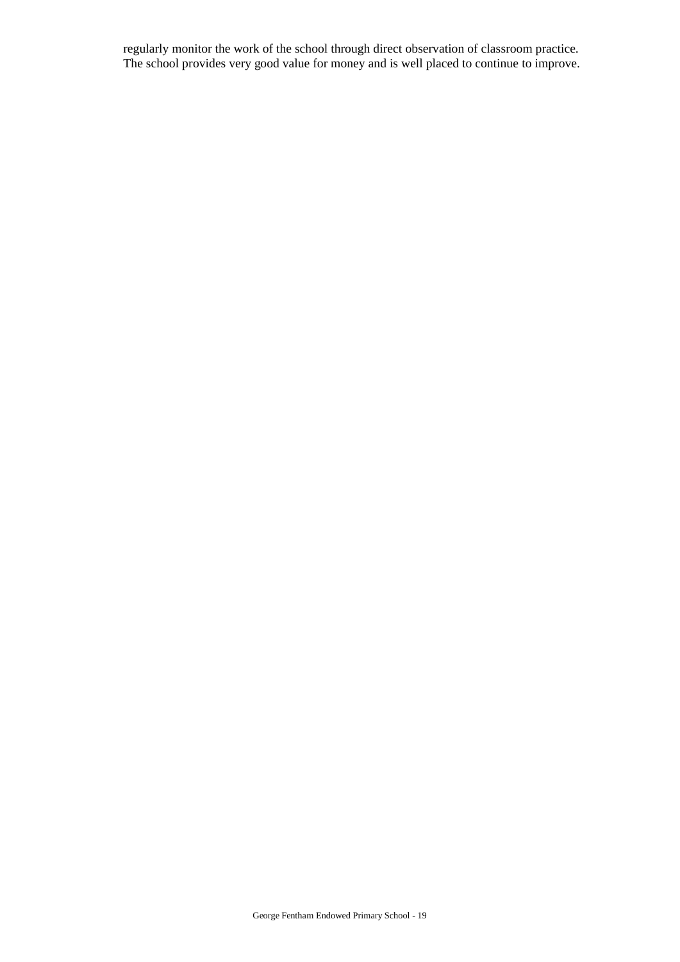regularly monitor the work of the school through direct observation of classroom practice. The school provides very good value for money and is well placed to continue to improve.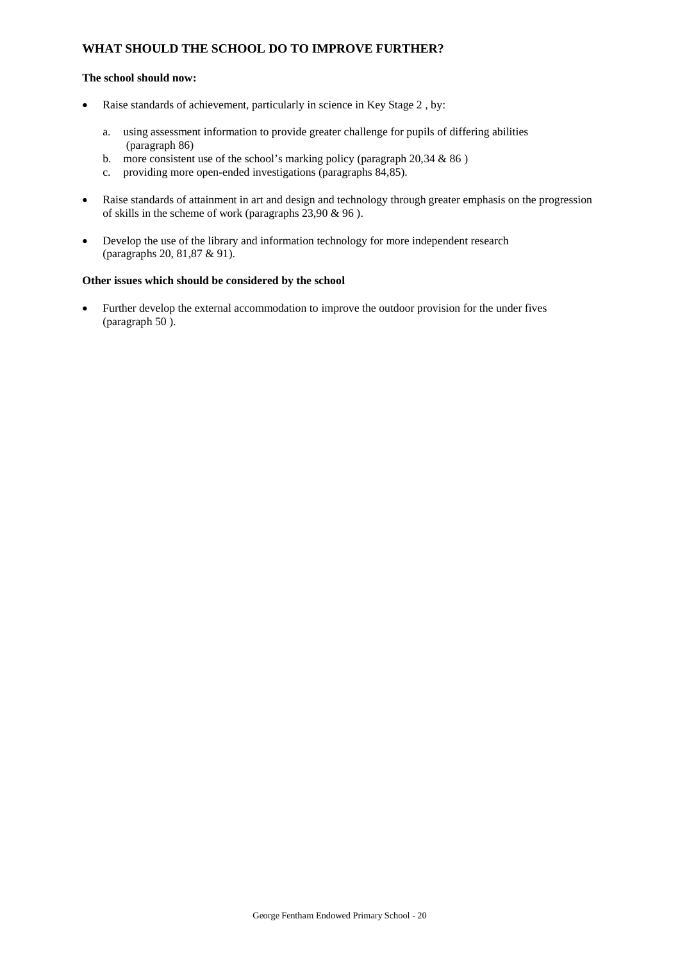# **WHAT SHOULD THE SCHOOL DO TO IMPROVE FURTHER?**

#### **The school should now:**

- Raise standards of achievement, particularly in science in Key Stage 2, by:
	- a. using assessment information to provide greater challenge for pupils of differing abilities (paragraph 86)
	- b. more consistent use of the school's marking policy (paragraph  $20,34 \& 86$ )
	- c. providing more open-ended investigations (paragraphs 84,85).
- Raise standards of attainment in art and design and technology through greater emphasis on the progression of skills in the scheme of work (paragraphs 23,90 & 96 ).
- Develop the use of the library and information technology for more independent research (paragraphs 20, 81,87 & 91).

### **Other issues which should be considered by the school**

 Further develop the external accommodation to improve the outdoor provision for the under fives (paragraph 50 ).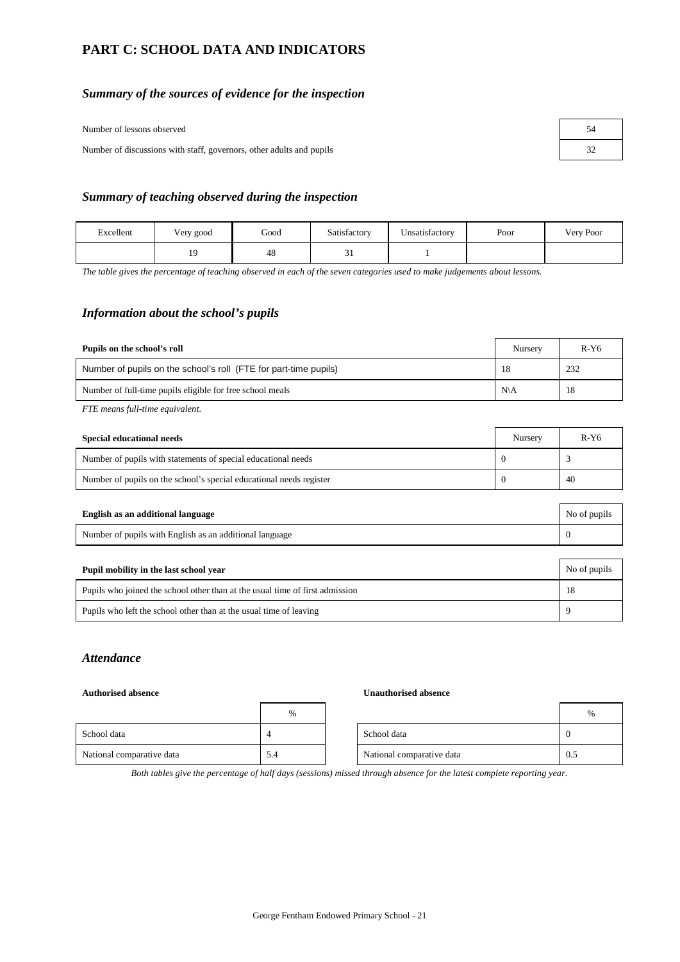# **PART C: SCHOOL DATA AND INDICATORS**

### *Summary of the sources of evidence for the inspection*

Number of lessons observed

Number of discussions with staff, governors, other adults and pupils

| 54 |
|----|
| 32 |

#### *Summary of teaching observed during the inspection*

| Excellent | Very good | Good | Satisfactory | Unsatisfactory | Poor | Very Poor |
|-----------|-----------|------|--------------|----------------|------|-----------|
|           | $\sim$    | 48   | $\sim$ 1     |                |      |           |

*The table gives the percentage of teaching observed in each of the seven categories used to make judgements about lessons.*

# *Information about the school's pupils*

| Pupils on the school's roll                                      | Nursery        | $R-Y6$ |
|------------------------------------------------------------------|----------------|--------|
| Number of pupils on the school's roll (FTE for part-time pupils) | 18             | 232    |
| Number of full-time pupils eligible for free school meals        | $N\setminus A$ | 18     |

*FTE means full-time equivalent.*

| Special educational needs                                           | Nursery | R-Y6 |
|---------------------------------------------------------------------|---------|------|
| Number of pupils with statements of special educational needs       |         |      |
| Number of pupils on the school's special educational needs register |         | 40   |

| English as an additional language                       | No of pupils |
|---------------------------------------------------------|--------------|
| Number of pupils with English as an additional language |              |
|                                                         |              |

| Pupil mobility in the last school year                                       | No of pupils |
|------------------------------------------------------------------------------|--------------|
| Pupils who joined the school other than at the usual time of first admission | 18           |
| Pupils who left the school other than at the usual time of leaving           |              |

# *Attendance*

#### **Authorised absence Unauthorised absence**

|                           | $\%$ |                           | $\%$ |  |
|---------------------------|------|---------------------------|------|--|
| School data               |      | School data               |      |  |
| National comparative data | 5.4  | National comparative data | 0.5  |  |

*Both tables give the percentage of half days (sessions) missed through absence for the latest complete reporting year.*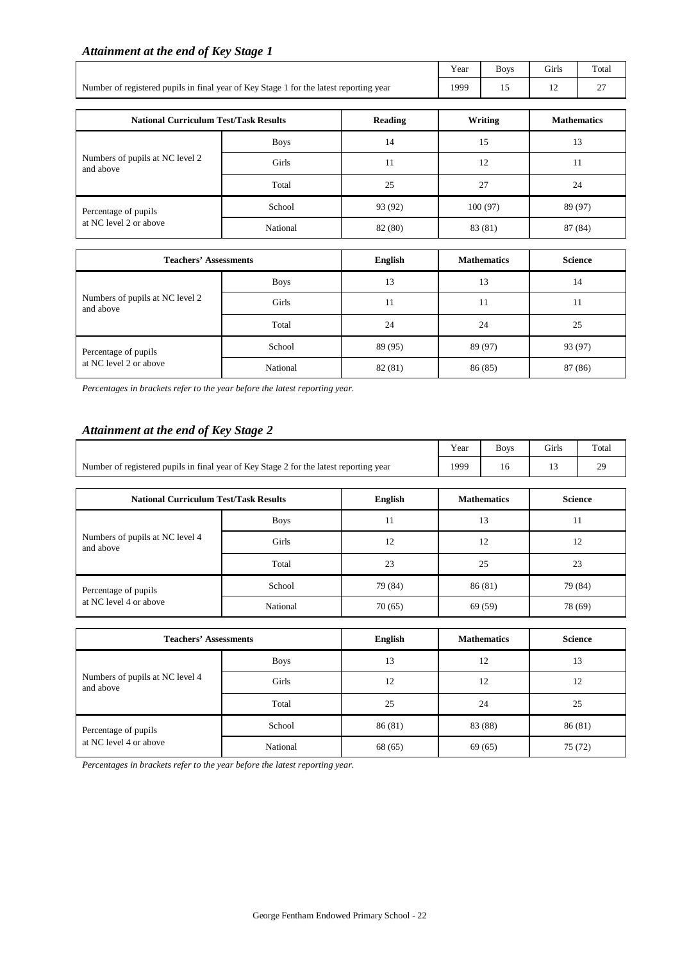# *Attainment at the end of Key Stage 1*

|                                                                                        | Year | <b>Boys</b> | <b>Girls</b> | Total    |
|----------------------------------------------------------------------------------------|------|-------------|--------------|----------|
| Number of registered pupils in final year of Key Stage 1 for the latest reporting year | 1999 |             | 14           | <u>.</u> |

| <b>National Curriculum Test/Task Results</b> |             | <b>Reading</b> | Writing | <b>Mathematics</b> |
|----------------------------------------------|-------------|----------------|---------|--------------------|
|                                              | <b>Boys</b> | 14             | 15      | 13                 |
| Numbers of pupils at NC level 2<br>and above | Girls       | 11             | 12      | 11                 |
|                                              | Total       | 25             | 27      | 24                 |
| Percentage of pupils                         | School      | 93 (92)        | 100(97) | 89 (97)            |
| at NC level 2 or above                       | National    | 82 (80)        | 83 (81) | 87 (84)            |

| <b>Teachers' Assessments</b>                 |             | English | <b>Mathematics</b> | <b>Science</b> |
|----------------------------------------------|-------------|---------|--------------------|----------------|
|                                              | <b>Boys</b> | 13      | 13                 | 14             |
| Numbers of pupils at NC level 2<br>and above | Girls       | 11      | 11                 | 11             |
|                                              | Total       | 24      | 24                 | 25             |
| Percentage of pupils                         | School      | 89 (95) | 89 (97)            | 93 (97)        |
| at NC level 2 or above                       | National    | 82 (81) | 86 (85)            | 87 (86)        |

*Percentages in brackets refer to the year before the latest reporting year.*

## *Attainment at the end of Key Stage 2*

|                                                                                        | Year | <b>Boys</b> | Girls | Total |
|----------------------------------------------------------------------------------------|------|-------------|-------|-------|
| Number of registered pupils in final year of Key Stage 2 for the latest reporting year | 1999 |             |       |       |

| <b>National Curriculum Test/Task Results</b> |             | English | <b>Mathematics</b> | <b>Science</b> |
|----------------------------------------------|-------------|---------|--------------------|----------------|
|                                              | <b>Boys</b> | 11      | 13                 | 11             |
| Numbers of pupils at NC level 4<br>and above | Girls       | 12      | 12                 | 12             |
|                                              | Total       | 23      | 25                 | 23             |
| Percentage of pupils                         | School      | 79 (84) | 86(81)             | 79 (84)        |
| at NC level 4 or above                       | National    | 70(65)  | 69 (59)            | 78 (69)        |

| <b>Teachers' Assessments</b>                 |             | English | <b>Mathematics</b> | <b>Science</b> |
|----------------------------------------------|-------------|---------|--------------------|----------------|
|                                              | <b>Boys</b> | 13      | 12                 | 13             |
| Numbers of pupils at NC level 4<br>and above | Girls       | 12      | 12                 | 12             |
|                                              | Total       | 25      | 24                 | 25             |
| Percentage of pupils                         | School      | 86(81)  | 83 (88)            | 86(81)         |
| at NC level 4 or above                       | National    | 68 (65) | 69(65)             | 75(72)         |

*Percentages in brackets refer to the year before the latest reporting year.*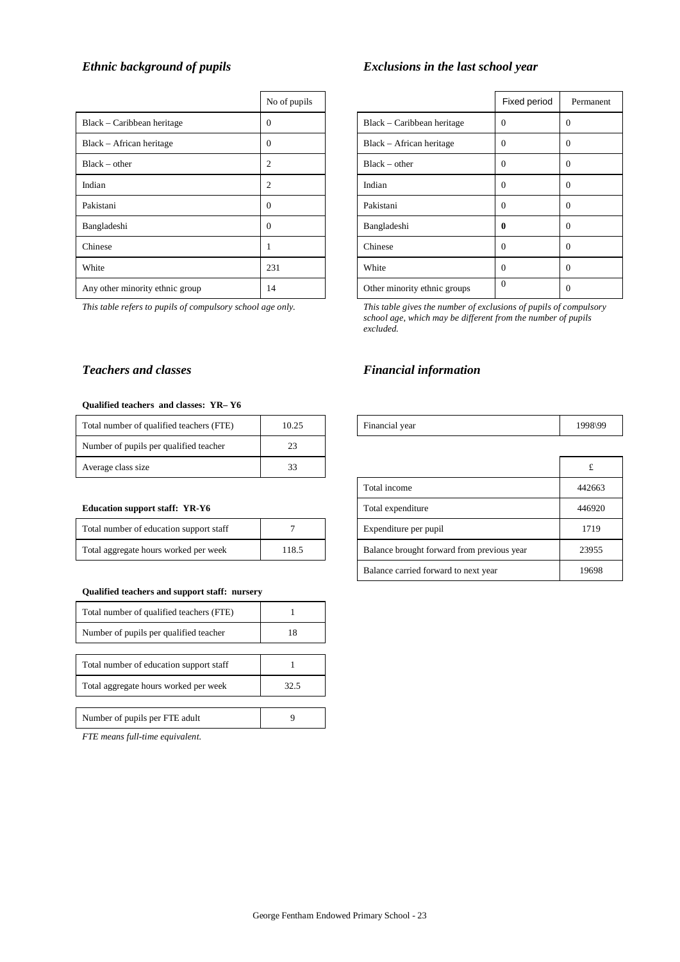|                                 | No of pupils |                              | Fixed period |            |
|---------------------------------|--------------|------------------------------|--------------|------------|
| Black – Caribbean heritage      | $\Omega$     | Black – Caribbean heritage   | $\Omega$     | 0          |
| Black – African heritage        | $\Omega$     | Black – African heritage     | $\Omega$     | 0          |
| $Black - other$                 | 2            | $Black - other$              | $\Omega$     | $\sqrt{ }$ |
| Indian                          | 2            | Indian                       | $\Omega$     | 0          |
| Pakistani                       | $\Omega$     | Pakistani                    | $\Omega$     | $\sqrt{ }$ |
| Bangladeshi                     | $\Omega$     | Bangladeshi                  | 0            | 0          |
| Chinese                         |              | Chinese                      | $\Omega$     | $\sqrt{ }$ |
| White                           | 231          | White                        | $\Omega$     | 0          |
| Any other minority ethnic group | 14           | Other minority ethnic groups | $\Omega$     | 0          |

#### **Qualified teachers and classes: YR– Y6**

| Total number of qualified teachers (FTE) | 10.25 | Financial year | 1998\99 |
|------------------------------------------|-------|----------------|---------|
| Number of pupils per qualified teacher   | 23    |                |         |
| Average class size                       | 33    |                |         |

#### **Education support staff: YR-Y6**

| Total number of education support staff |       |
|-----------------------------------------|-------|
| Total aggregate hours worked per week   | 118.5 |

#### **Qualified teachers and support staff: nursery**

| Total number of qualified teachers (FTE) |      |
|------------------------------------------|------|
| Number of pupils per qualified teacher   | 18   |
|                                          |      |
| Total number of education support staff  |      |
| Total aggregate hours worked per week    | 32.5 |
|                                          |      |
| Number of pupils per FTE adult           |      |

*FTE means full-time equivalent.*

# *Ethnic background of pupils Exclusions in the last school year*

| No of pupils   |                 |                              | Fixed period | Permanent    |
|----------------|-----------------|------------------------------|--------------|--------------|
| $\overline{0}$ |                 | Black – Caribbean heritage   | $\Omega$     | $\Omega$     |
| $\overline{0}$ |                 | Black - African heritage     | $\Omega$     | $\Omega$     |
| $\overline{c}$ | $Black - other$ |                              | $\Omega$     | $\Omega$     |
| $\overline{c}$ | Indian          |                              | $\Omega$     | $\Omega$     |
| $\overline{0}$ | Pakistani       |                              | $\Omega$     | $\Omega$     |
| $\overline{0}$ | Bangladeshi     |                              | $\mathbf{0}$ | $\Omega$     |
| $\mathbf{1}$   | Chinese         |                              | $\mathbf{0}$ | $\mathbf{0}$ |
| 231            | White           |                              | $\Omega$     | $\Omega$     |
| 14             |                 | Other minority ethnic groups | $\Omega$     | $\Omega$     |

*This table refers to pupils of compulsory school age only. This table gives the number of exclusions of pupils of compulsory school age, which may be different from the number of pupils excluded.*

# **Teachers and classes** Financial information

| Total number of quantitied teachers (PTE) | 10.23 | гипанскаг усаг    |                                            | エンプロトンプ |
|-------------------------------------------|-------|-------------------|--------------------------------------------|---------|
| Number of pupils per qualified teacher    | 23    |                   |                                            |         |
| Average class size                        | 33    |                   |                                            |         |
|                                           |       |                   | Total income                               | 442663  |
| <b>Education support staff: YR-Y6</b>     |       | Total expenditure | 446920                                     |         |
| Total number of education support staff   |       |                   | Expenditure per pupil                      | 1719    |
| Total aggregate hours worked per week     | 118.5 |                   | Balance brought forward from previous year | 23955   |
|                                           |       |                   | Balance carried forward to next year       | 19698   |

┑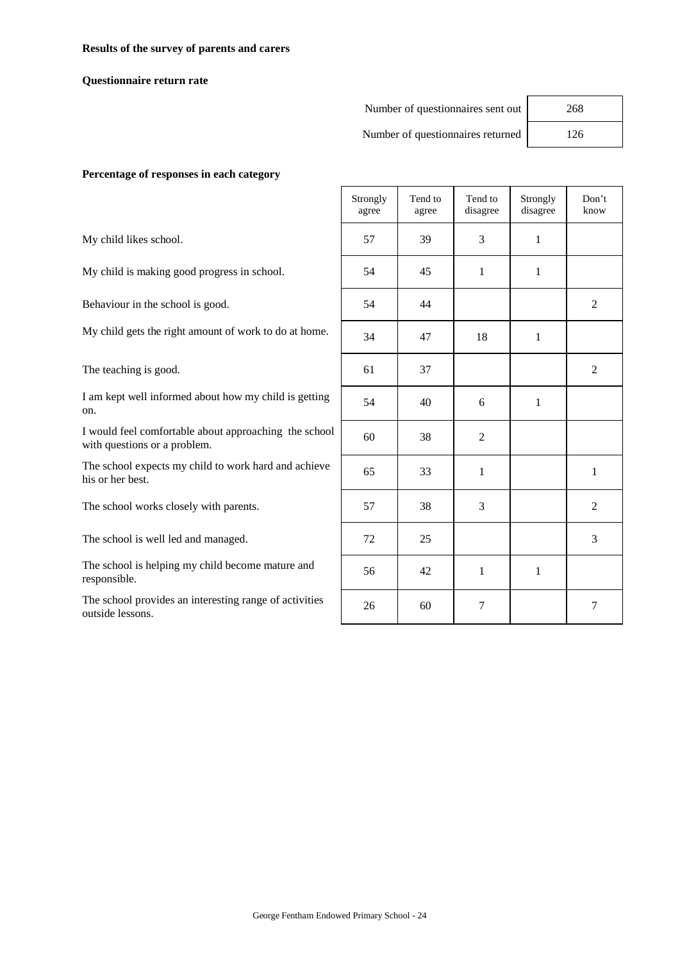#### **Results of the survey of parents and carers**

#### **Questionnaire return rate**

#### Number of questionnaires sent out 268

Number of questionnaires returned 126

#### **Percentage of responses in each category**

|                                                                                       | Strongly<br>agree | Tend to<br>agree | Tend to<br>disagree | Strongly<br>disagree | Don't<br>know  |
|---------------------------------------------------------------------------------------|-------------------|------------------|---------------------|----------------------|----------------|
| My child likes school.                                                                | 57                | 39               | 3                   | $\mathbf{1}$         |                |
| My child is making good progress in school.                                           | 54                | 45               | 1                   | 1                    |                |
| Behaviour in the school is good.                                                      | 54                | 44               |                     |                      | 2              |
| My child gets the right amount of work to do at home.                                 | 34                | 47               | 18                  | 1                    |                |
| The teaching is good.                                                                 | 61                | 37               |                     |                      | 2              |
| I am kept well informed about how my child is getting<br>on.                          | 54                | 40               | 6                   | $\mathbf{1}$         |                |
| I would feel comfortable about approaching the school<br>with questions or a problem. | 60                | 38               | $\overline{2}$      |                      |                |
| The school expects my child to work hard and achieve<br>his or her best.              | 65                | 33               | 1                   |                      | 1              |
| The school works closely with parents.                                                | 57                | 38               | 3                   |                      | $\overline{2}$ |
| The school is well led and managed.                                                   | 72                | 25               |                     |                      | 3              |
| The school is helping my child become mature and<br>responsible.                      | 56                | 42               | $\mathbf{1}$        | 1                    |                |
| The school provides an interesting range of activities<br>outside lessons.            | 26                | 60               | 7                   |                      | 7              |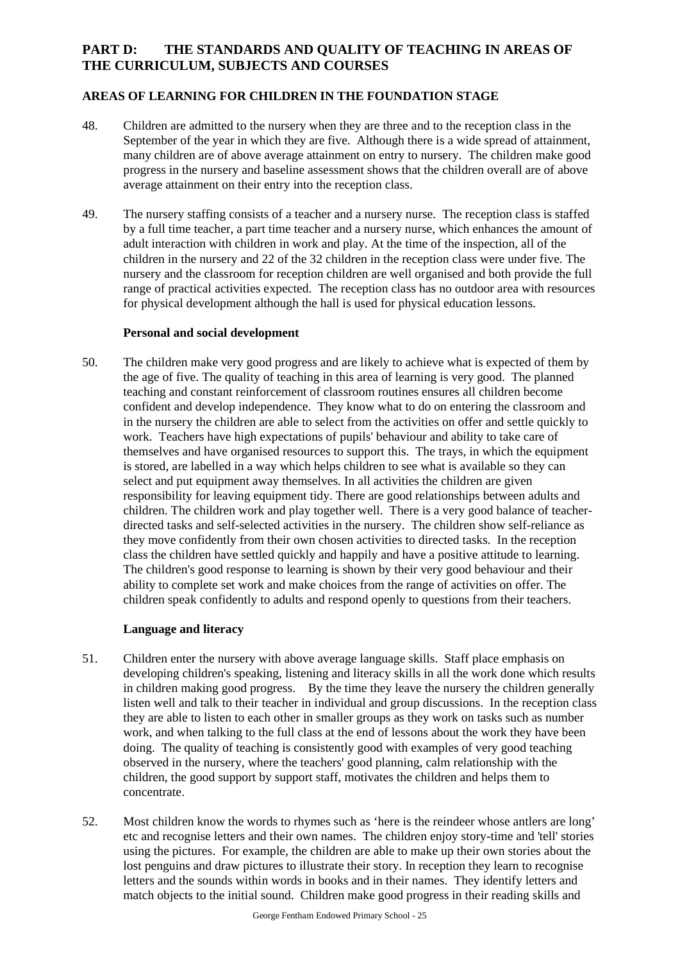# **PART D: THE STANDARDS AND QUALITY OF TEACHING IN AREAS OF THE CURRICULUM, SUBJECTS AND COURSES**

# **AREAS OF LEARNING FOR CHILDREN IN THE FOUNDATION STAGE**

- 48. Children are admitted to the nursery when they are three and to the reception class in the September of the year in which they are five. Although there is a wide spread of attainment, many children are of above average attainment on entry to nursery. The children make good progress in the nursery and baseline assessment shows that the children overall are of above average attainment on their entry into the reception class.
- 49. The nursery staffing consists of a teacher and a nursery nurse. The reception class is staffed by a full time teacher, a part time teacher and a nursery nurse, which enhances the amount of adult interaction with children in work and play. At the time of the inspection, all of the children in the nursery and 22 of the 32 children in the reception class were under five. The nursery and the classroom for reception children are well organised and both provide the full range of practical activities expected. The reception class has no outdoor area with resources for physical development although the hall is used for physical education lessons.

### **Personal and social development**

50. The children make very good progress and are likely to achieve what is expected of them by the age of five. The quality of teaching in this area of learning is very good. The planned teaching and constant reinforcement of classroom routines ensures all children become confident and develop independence. They know what to do on entering the classroom and in the nursery the children are able to select from the activities on offer and settle quickly to work. Teachers have high expectations of pupils' behaviour and ability to take care of themselves and have organised resources to support this. The trays, in which the equipment is stored, are labelled in a way which helps children to see what is available so they can select and put equipment away themselves. In all activities the children are given responsibility for leaving equipment tidy. There are good relationships between adults and children. The children work and play together well. There is a very good balance of teacherdirected tasks and self-selected activities in the nursery. The children show self-reliance as they move confidently from their own chosen activities to directed tasks. In the reception class the children have settled quickly and happily and have a positive attitude to learning. The children's good response to learning is shown by their very good behaviour and their ability to complete set work and make choices from the range of activities on offer. The children speak confidently to adults and respond openly to questions from their teachers.

# **Language and literacy**

- 51. Children enter the nursery with above average language skills. Staff place emphasis on developing children's speaking, listening and literacy skills in all the work done which results in children making good progress. By the time they leave the nursery the children generally listen well and talk to their teacher in individual and group discussions. In the reception class they are able to listen to each other in smaller groups as they work on tasks such as number work, and when talking to the full class at the end of lessons about the work they have been doing. The quality of teaching is consistently good with examples of very good teaching observed in the nursery, where the teachers' good planning, calm relationship with the children, the good support by support staff, motivates the children and helps them to concentrate.
- 52. Most children know the words to rhymes such as 'here is the reindeer whose antlers are long' etc and recognise letters and their own names. The children enjoy story-time and 'tell' stories using the pictures. For example, the children are able to make up their own stories about the lost penguins and draw pictures to illustrate their story. In reception they learn to recognise letters and the sounds within words in books and in their names. They identify letters and match objects to the initial sound. Children make good progress in their reading skills and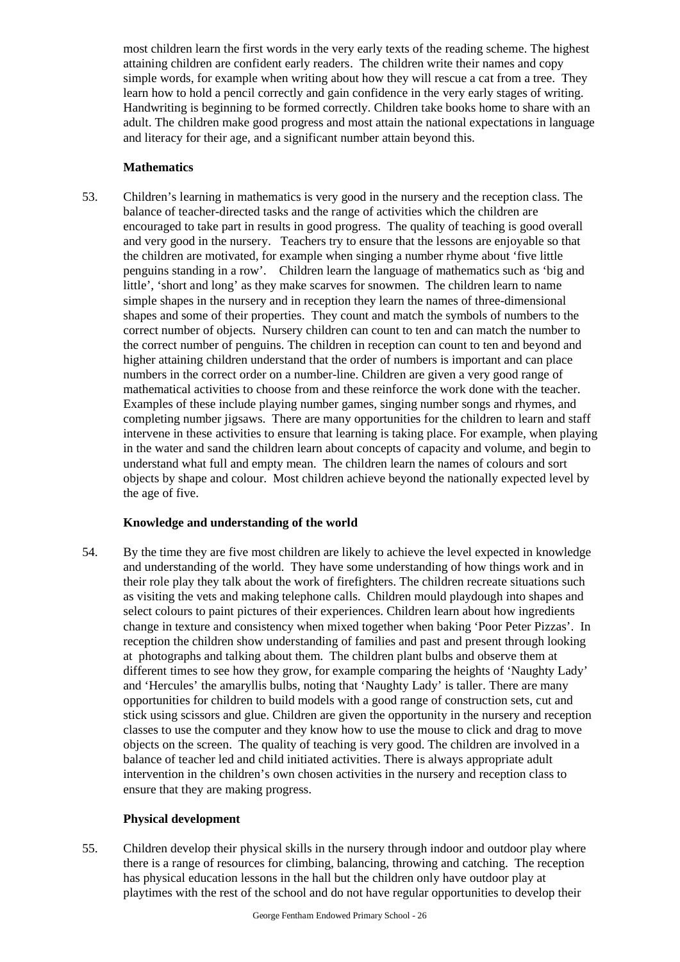most children learn the first words in the very early texts of the reading scheme. The highest attaining children are confident early readers. The children write their names and copy simple words, for example when writing about how they will rescue a cat from a tree. They learn how to hold a pencil correctly and gain confidence in the very early stages of writing. Handwriting is beginning to be formed correctly. Children take books home to share with an adult. The children make good progress and most attain the national expectations in language and literacy for their age, and a significant number attain beyond this.

# **Mathematics**

53. Children's learning in mathematics is very good in the nursery and the reception class. The balance of teacher-directed tasks and the range of activities which the children are encouraged to take part in results in good progress. The quality of teaching is good overall and very good in the nursery. Teachers try to ensure that the lessons are enjoyable so that the children are motivated, for example when singing a number rhyme about 'five little penguins standing in a row'. Children learn the language of mathematics such as 'big and little', 'short and long' as they make scarves for snowmen. The children learn to name simple shapes in the nursery and in reception they learn the names of three-dimensional shapes and some of their properties. They count and match the symbols of numbers to the correct number of objects. Nursery children can count to ten and can match the number to the correct number of penguins. The children in reception can count to ten and beyond and higher attaining children understand that the order of numbers is important and can place numbers in the correct order on a number-line. Children are given a very good range of mathematical activities to choose from and these reinforce the work done with the teacher. Examples of these include playing number games, singing number songs and rhymes, and completing number jigsaws. There are many opportunities for the children to learn and staff intervene in these activities to ensure that learning is taking place. For example, when playing in the water and sand the children learn about concepts of capacity and volume, and begin to understand what full and empty mean. The children learn the names of colours and sort objects by shape and colour. Most children achieve beyond the nationally expected level by the age of five.

# **Knowledge and understanding of the world**

54. By the time they are five most children are likely to achieve the level expected in knowledge and understanding of the world. They have some understanding of how things work and in their role play they talk about the work of firefighters. The children recreate situations such as visiting the vets and making telephone calls. Children mould playdough into shapes and select colours to paint pictures of their experiences. Children learn about how ingredients change in texture and consistency when mixed together when baking 'Poor Peter Pizzas'. In reception the children show understanding of families and past and present through looking at photographs and talking about them. The children plant bulbs and observe them at different times to see how they grow, for example comparing the heights of 'Naughty Lady' and 'Hercules' the amaryllis bulbs, noting that 'Naughty Lady' is taller. There are many opportunities for children to build models with a good range of construction sets, cut and stick using scissors and glue. Children are given the opportunity in the nursery and reception classes to use the computer and they know how to use the mouse to click and drag to move objects on the screen. The quality of teaching is very good. The children are involved in a balance of teacher led and child initiated activities. There is always appropriate adult intervention in the children's own chosen activities in the nursery and reception class to ensure that they are making progress.

# **Physical development**

55. Children develop their physical skills in the nursery through indoor and outdoor play where there is a range of resources for climbing, balancing, throwing and catching. The reception has physical education lessons in the hall but the children only have outdoor play at playtimes with the rest of the school and do not have regular opportunities to develop their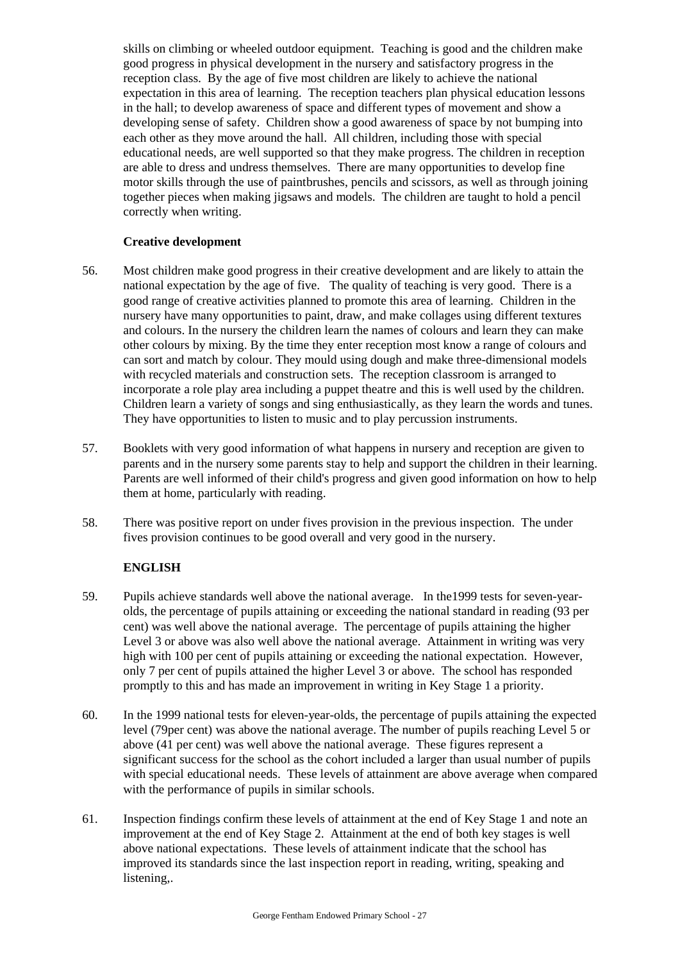skills on climbing or wheeled outdoor equipment. Teaching is good and the children make good progress in physical development in the nursery and satisfactory progress in the reception class. By the age of five most children are likely to achieve the national expectation in this area of learning. The reception teachers plan physical education lessons in the hall; to develop awareness of space and different types of movement and show a developing sense of safety. Children show a good awareness of space by not bumping into each other as they move around the hall. All children, including those with special educational needs, are well supported so that they make progress. The children in reception are able to dress and undress themselves. There are many opportunities to develop fine motor skills through the use of paintbrushes, pencils and scissors, as well as through joining together pieces when making jigsaws and models. The children are taught to hold a pencil correctly when writing.

# **Creative development**

- 56. Most children make good progress in their creative development and are likely to attain the national expectation by the age of five. The quality of teaching is very good. There is a good range of creative activities planned to promote this area of learning. Children in the nursery have many opportunities to paint, draw, and make collages using different textures and colours. In the nursery the children learn the names of colours and learn they can make other colours by mixing. By the time they enter reception most know a range of colours and can sort and match by colour. They mould using dough and make three-dimensional models with recycled materials and construction sets. The reception classroom is arranged to incorporate a role play area including a puppet theatre and this is well used by the children. Children learn a variety of songs and sing enthusiastically, as they learn the words and tunes. They have opportunities to listen to music and to play percussion instruments.
- 57. Booklets with very good information of what happens in nursery and reception are given to parents and in the nursery some parents stay to help and support the children in their learning. Parents are well informed of their child's progress and given good information on how to help them at home, particularly with reading.
- 58. There was positive report on under fives provision in the previous inspection. The under fives provision continues to be good overall and very good in the nursery.

# **ENGLISH**

- 59. Pupils achieve standards well above the national average. In the1999 tests for seven-yearolds, the percentage of pupils attaining or exceeding the national standard in reading (93 per cent) was well above the national average. The percentage of pupils attaining the higher Level 3 or above was also well above the national average. Attainment in writing was very high with 100 per cent of pupils attaining or exceeding the national expectation. However, only 7 per cent of pupils attained the higher Level 3 or above. The school has responded promptly to this and has made an improvement in writing in Key Stage 1 a priority.
- 60. In the 1999 national tests for eleven-year-olds, the percentage of pupils attaining the expected level (79per cent) was above the national average. The number of pupils reaching Level 5 or above (41 per cent) was well above the national average. These figures represent a significant success for the school as the cohort included a larger than usual number of pupils with special educational needs. These levels of attainment are above average when compared with the performance of pupils in similar schools.
- 61. Inspection findings confirm these levels of attainment at the end of Key Stage 1 and note an improvement at the end of Key Stage 2. Attainment at the end of both key stages is well above national expectations. These levels of attainment indicate that the school has improved its standards since the last inspection report in reading, writing, speaking and listening,.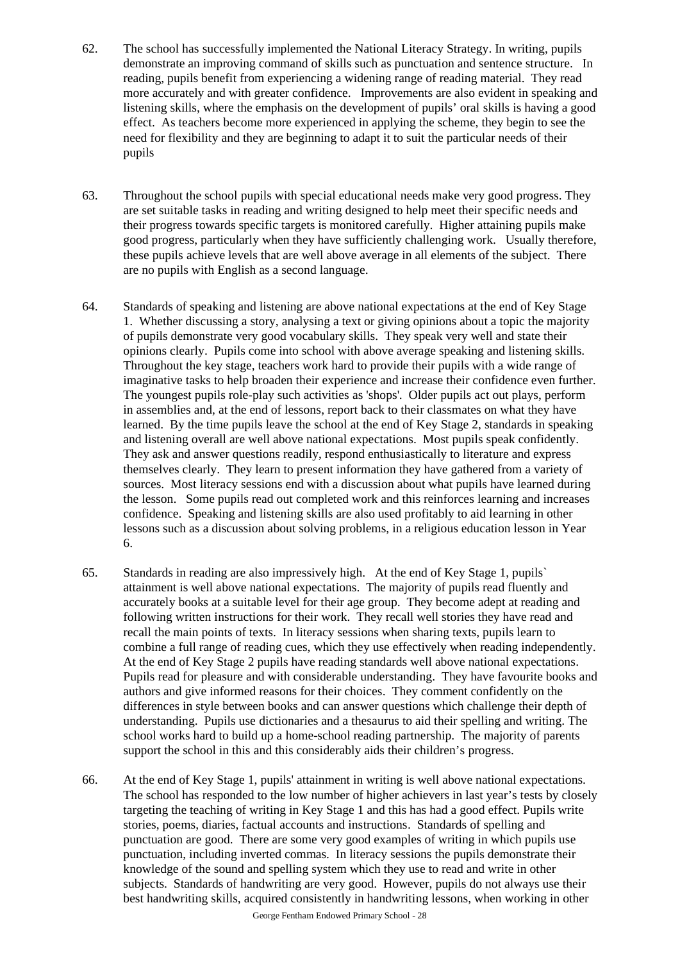- 62. The school has successfully implemented the National Literacy Strategy. In writing, pupils demonstrate an improving command of skills such as punctuation and sentence structure. In reading, pupils benefit from experiencing a widening range of reading material. They read more accurately and with greater confidence. Improvements are also evident in speaking and listening skills, where the emphasis on the development of pupils' oral skills is having a good effect. As teachers become more experienced in applying the scheme, they begin to see the need for flexibility and they are beginning to adapt it to suit the particular needs of their pupils
- 63. Throughout the school pupils with special educational needs make very good progress. They are set suitable tasks in reading and writing designed to help meet their specific needs and their progress towards specific targets is monitored carefully. Higher attaining pupils make good progress, particularly when they have sufficiently challenging work. Usually therefore, these pupils achieve levels that are well above average in all elements of the subject. There are no pupils with English as a second language.
- 64. Standards of speaking and listening are above national expectations at the end of Key Stage 1. Whether discussing a story, analysing a text or giving opinions about a topic the majority of pupils demonstrate very good vocabulary skills. They speak very well and state their opinions clearly. Pupils come into school with above average speaking and listening skills. Throughout the key stage, teachers work hard to provide their pupils with a wide range of imaginative tasks to help broaden their experience and increase their confidence even further. The youngest pupils role-play such activities as 'shops'. Older pupils act out plays, perform in assemblies and, at the end of lessons, report back to their classmates on what they have learned. By the time pupils leave the school at the end of Key Stage 2, standards in speaking and listening overall are well above national expectations. Most pupils speak confidently. They ask and answer questions readily, respond enthusiastically to literature and express themselves clearly. They learn to present information they have gathered from a variety of sources. Most literacy sessions end with a discussion about what pupils have learned during the lesson. Some pupils read out completed work and this reinforces learning and increases confidence. Speaking and listening skills are also used profitably to aid learning in other lessons such as a discussion about solving problems, in a religious education lesson in Year 6.
- 65. Standards in reading are also impressively high. At the end of Key Stage 1, pupils` attainment is well above national expectations. The majority of pupils read fluently and accurately books at a suitable level for their age group. They become adept at reading and following written instructions for their work. They recall well stories they have read and recall the main points of texts. In literacy sessions when sharing texts, pupils learn to combine a full range of reading cues, which they use effectively when reading independently. At the end of Key Stage 2 pupils have reading standards well above national expectations. Pupils read for pleasure and with considerable understanding. They have favourite books and authors and give informed reasons for their choices. They comment confidently on the differences in style between books and can answer questions which challenge their depth of understanding. Pupils use dictionaries and a thesaurus to aid their spelling and writing. The school works hard to build up a home-school reading partnership. The majority of parents support the school in this and this considerably aids their children's progress.
- 66. At the end of Key Stage 1, pupils' attainment in writing is well above national expectations. The school has responded to the low number of higher achievers in last year's tests by closely targeting the teaching of writing in Key Stage 1 and this has had a good effect. Pupils write stories, poems, diaries, factual accounts and instructions. Standards of spelling and punctuation are good. There are some very good examples of writing in which pupils use punctuation, including inverted commas. In literacy sessions the pupils demonstrate their knowledge of the sound and spelling system which they use to read and write in other subjects. Standards of handwriting are very good. However, pupils do not always use their best handwriting skills, acquired consistently in handwriting lessons, when working in other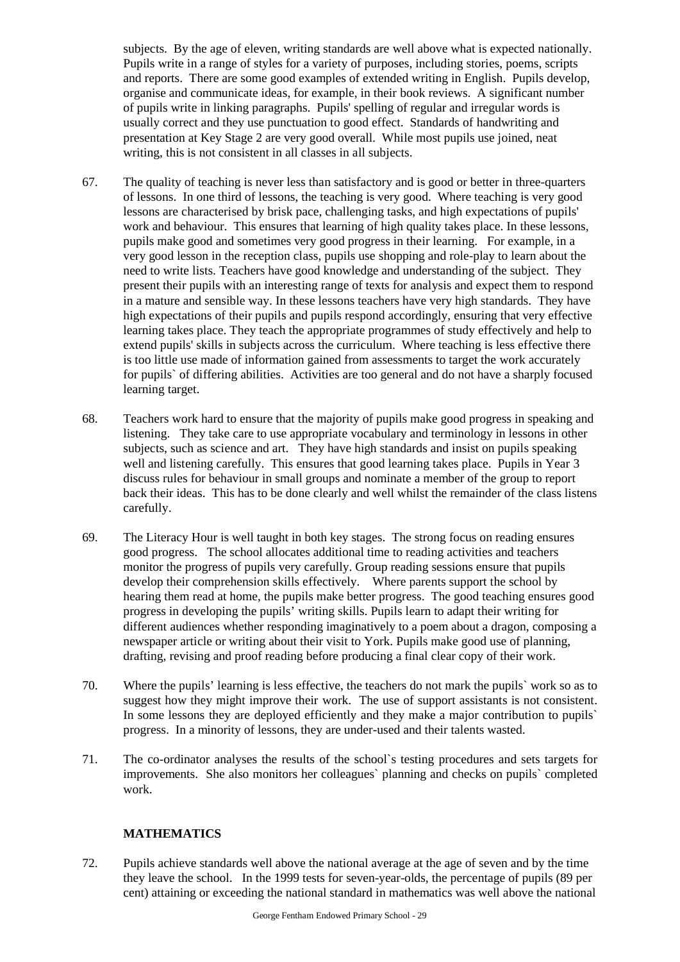subjects. By the age of eleven, writing standards are well above what is expected nationally. Pupils write in a range of styles for a variety of purposes, including stories, poems, scripts and reports. There are some good examples of extended writing in English. Pupils develop, organise and communicate ideas, for example, in their book reviews. A significant number of pupils write in linking paragraphs. Pupils' spelling of regular and irregular words is usually correct and they use punctuation to good effect. Standards of handwriting and presentation at Key Stage 2 are very good overall. While most pupils use joined, neat writing, this is not consistent in all classes in all subjects.

- 67. The quality of teaching is never less than satisfactory and is good or better in three-quarters of lessons. In one third of lessons, the teaching is very good. Where teaching is very good lessons are characterised by brisk pace, challenging tasks, and high expectations of pupils' work and behaviour. This ensures that learning of high quality takes place. In these lessons, pupils make good and sometimes very good progress in their learning. For example, in a very good lesson in the reception class, pupils use shopping and role-play to learn about the need to write lists. Teachers have good knowledge and understanding of the subject. They present their pupils with an interesting range of texts for analysis and expect them to respond in a mature and sensible way. In these lessons teachers have very high standards. They have high expectations of their pupils and pupils respond accordingly, ensuring that very effective learning takes place. They teach the appropriate programmes of study effectively and help to extend pupils' skills in subjects across the curriculum. Where teaching is less effective there is too little use made of information gained from assessments to target the work accurately for pupils` of differing abilities. Activities are too general and do not have a sharply focused learning target.
- 68. Teachers work hard to ensure that the majority of pupils make good progress in speaking and listening. They take care to use appropriate vocabulary and terminology in lessons in other subjects, such as science and art. They have high standards and insist on pupils speaking well and listening carefully. This ensures that good learning takes place. Pupils in Year 3 discuss rules for behaviour in small groups and nominate a member of the group to report back their ideas. This has to be done clearly and well whilst the remainder of the class listens carefully.
- 69. The Literacy Hour is well taught in both key stages. The strong focus on reading ensures good progress. The school allocates additional time to reading activities and teachers monitor the progress of pupils very carefully. Group reading sessions ensure that pupils develop their comprehension skills effectively. Where parents support the school by hearing them read at home, the pupils make better progress. The good teaching ensures good progress in developing the pupils' writing skills. Pupils learn to adapt their writing for different audiences whether responding imaginatively to a poem about a dragon, composing a newspaper article or writing about their visit to York. Pupils make good use of planning, drafting, revising and proof reading before producing a final clear copy of their work.
- 70. Where the pupils' learning is less effective, the teachers do not mark the pupils` work so as to suggest how they might improve their work. The use of support assistants is not consistent. In some lessons they are deployed efficiently and they make a major contribution to pupils` progress. In a minority of lessons, they are under-used and their talents wasted.
- 71. The co-ordinator analyses the results of the school`s testing procedures and sets targets for improvements. She also monitors her colleagues` planning and checks on pupils` completed work.

# **MATHEMATICS**

72. Pupils achieve standards well above the national average at the age of seven and by the time they leave the school. In the 1999 tests for seven-year-olds, the percentage of pupils (89 per cent) attaining or exceeding the national standard in mathematics was well above the national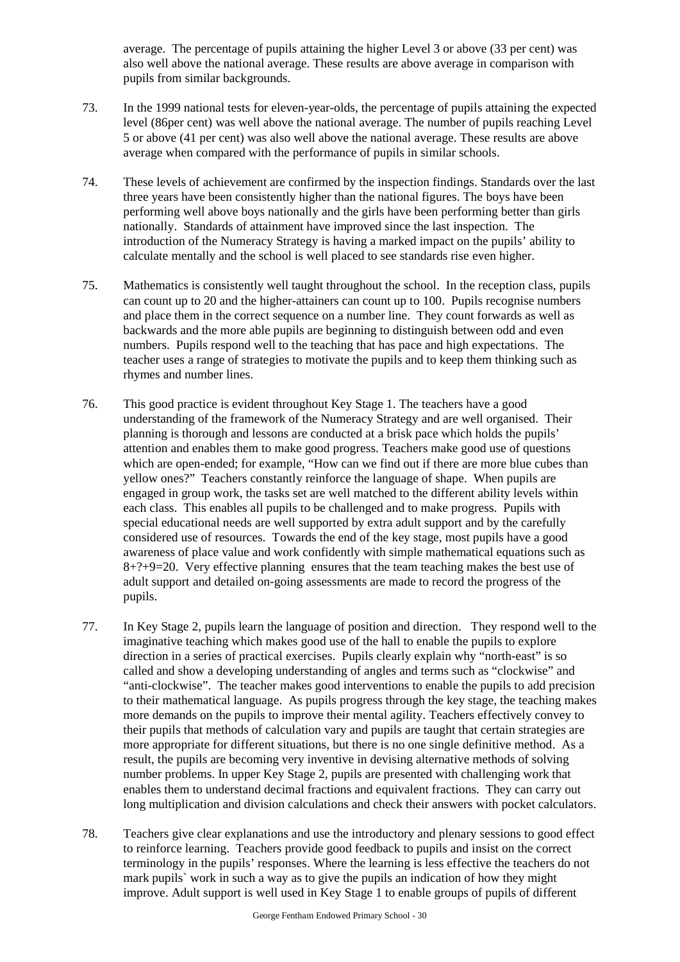average. The percentage of pupils attaining the higher Level 3 or above (33 per cent) was also well above the national average. These results are above average in comparison with pupils from similar backgrounds.

- 73. In the 1999 national tests for eleven-year-olds, the percentage of pupils attaining the expected level (86per cent) was well above the national average. The number of pupils reaching Level 5 or above (41 per cent) was also well above the national average. These results are above average when compared with the performance of pupils in similar schools.
- 74. These levels of achievement are confirmed by the inspection findings. Standards over the last three years have been consistently higher than the national figures. The boys have been performing well above boys nationally and the girls have been performing better than girls nationally. Standards of attainment have improved since the last inspection. The introduction of the Numeracy Strategy is having a marked impact on the pupils' ability to calculate mentally and the school is well placed to see standards rise even higher.
- 75. Mathematics is consistently well taught throughout the school. In the reception class, pupils can count up to 20 and the higher-attainers can count up to 100. Pupils recognise numbers and place them in the correct sequence on a number line. They count forwards as well as backwards and the more able pupils are beginning to distinguish between odd and even numbers. Pupils respond well to the teaching that has pace and high expectations. The teacher uses a range of strategies to motivate the pupils and to keep them thinking such as rhymes and number lines.
- 76. This good practice is evident throughout Key Stage 1. The teachers have a good understanding of the framework of the Numeracy Strategy and are well organised. Their planning is thorough and lessons are conducted at a brisk pace which holds the pupils' attention and enables them to make good progress. Teachers make good use of questions which are open-ended; for example, "How can we find out if there are more blue cubes than yellow ones?" Teachers constantly reinforce the language of shape. When pupils are engaged in group work, the tasks set are well matched to the different ability levels within each class. This enables all pupils to be challenged and to make progress. Pupils with special educational needs are well supported by extra adult support and by the carefully considered use of resources. Towards the end of the key stage, most pupils have a good awareness of place value and work confidently with simple mathematical equations such as  $8+?+9=20$ . Very effective planning ensures that the team teaching makes the best use of adult support and detailed on-going assessments are made to record the progress of the pupils.
- 77. In Key Stage 2, pupils learn the language of position and direction. They respond well to the imaginative teaching which makes good use of the hall to enable the pupils to explore direction in a series of practical exercises. Pupils clearly explain why "north-east" is so called and show a developing understanding of angles and terms such as "clockwise" and "anti-clockwise". The teacher makes good interventions to enable the pupils to add precision to their mathematical language. As pupils progress through the key stage, the teaching makes more demands on the pupils to improve their mental agility. Teachers effectively convey to their pupils that methods of calculation vary and pupils are taught that certain strategies are more appropriate for different situations, but there is no one single definitive method. As a result, the pupils are becoming very inventive in devising alternative methods of solving number problems. In upper Key Stage 2, pupils are presented with challenging work that enables them to understand decimal fractions and equivalent fractions. They can carry out long multiplication and division calculations and check their answers with pocket calculators.
- 78. Teachers give clear explanations and use the introductory and plenary sessions to good effect to reinforce learning. Teachers provide good feedback to pupils and insist on the correct terminology in the pupils' responses. Where the learning is less effective the teachers do not mark pupils` work in such a way as to give the pupils an indication of how they might improve. Adult support is well used in Key Stage 1 to enable groups of pupils of different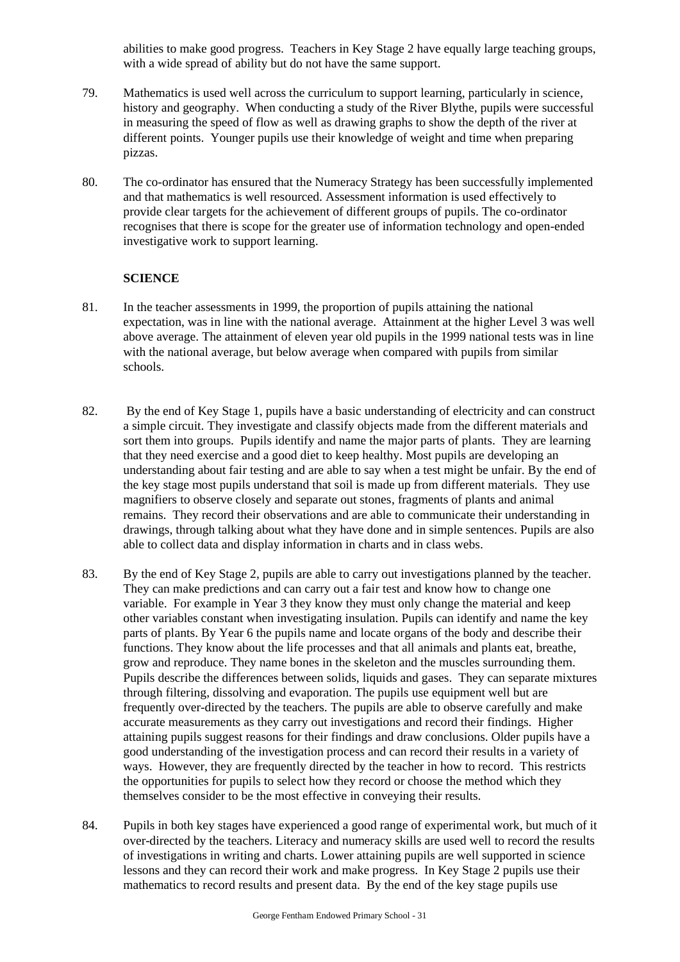abilities to make good progress. Teachers in Key Stage 2 have equally large teaching groups, with a wide spread of ability but do not have the same support.

- 79. Mathematics is used well across the curriculum to support learning, particularly in science, history and geography. When conducting a study of the River Blythe, pupils were successful in measuring the speed of flow as well as drawing graphs to show the depth of the river at different points. Younger pupils use their knowledge of weight and time when preparing pizzas.
- 80. The co-ordinator has ensured that the Numeracy Strategy has been successfully implemented and that mathematics is well resourced. Assessment information is used effectively to provide clear targets for the achievement of different groups of pupils. The co-ordinator recognises that there is scope for the greater use of information technology and open-ended investigative work to support learning.

# **SCIENCE**

- 81. In the teacher assessments in 1999, the proportion of pupils attaining the national expectation, was in line with the national average. Attainment at the higher Level 3 was well above average. The attainment of eleven year old pupils in the 1999 national tests was in line with the national average, but below average when compared with pupils from similar schools.
- 82. By the end of Key Stage 1, pupils have a basic understanding of electricity and can construct a simple circuit. They investigate and classify objects made from the different materials and sort them into groups. Pupils identify and name the major parts of plants. They are learning that they need exercise and a good diet to keep healthy. Most pupils are developing an understanding about fair testing and are able to say when a test might be unfair. By the end of the key stage most pupils understand that soil is made up from different materials. They use magnifiers to observe closely and separate out stones, fragments of plants and animal remains. They record their observations and are able to communicate their understanding in drawings, through talking about what they have done and in simple sentences. Pupils are also able to collect data and display information in charts and in class webs.
- 83. By the end of Key Stage 2, pupils are able to carry out investigations planned by the teacher. They can make predictions and can carry out a fair test and know how to change one variable. For example in Year 3 they know they must only change the material and keep other variables constant when investigating insulation. Pupils can identify and name the key parts of plants. By Year 6 the pupils name and locate organs of the body and describe their functions. They know about the life processes and that all animals and plants eat, breathe, grow and reproduce. They name bones in the skeleton and the muscles surrounding them. Pupils describe the differences between solids, liquids and gases. They can separate mixtures through filtering, dissolving and evaporation. The pupils use equipment well but are frequently over-directed by the teachers. The pupils are able to observe carefully and make accurate measurements as they carry out investigations and record their findings. Higher attaining pupils suggest reasons for their findings and draw conclusions. Older pupils have a good understanding of the investigation process and can record their results in a variety of ways. However, they are frequently directed by the teacher in how to record. This restricts the opportunities for pupils to select how they record or choose the method which they themselves consider to be the most effective in conveying their results.
- 84. Pupils in both key stages have experienced a good range of experimental work, but much of it over-directed by the teachers. Literacy and numeracy skills are used well to record the results of investigations in writing and charts. Lower attaining pupils are well supported in science lessons and they can record their work and make progress. In Key Stage 2 pupils use their mathematics to record results and present data. By the end of the key stage pupils use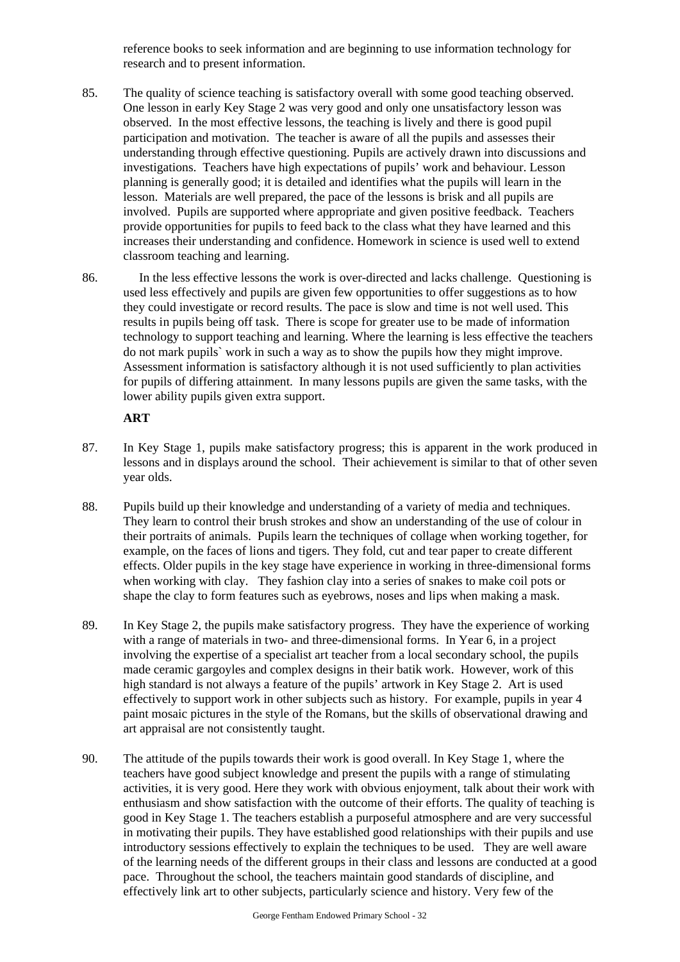reference books to seek information and are beginning to use information technology for research and to present information.

- 85. The quality of science teaching is satisfactory overall with some good teaching observed. One lesson in early Key Stage 2 was very good and only one unsatisfactory lesson was observed. In the most effective lessons, the teaching is lively and there is good pupil participation and motivation. The teacher is aware of all the pupils and assesses their understanding through effective questioning. Pupils are actively drawn into discussions and investigations. Teachers have high expectations of pupils' work and behaviour. Lesson planning is generally good; it is detailed and identifies what the pupils will learn in the lesson. Materials are well prepared, the pace of the lessons is brisk and all pupils are involved. Pupils are supported where appropriate and given positive feedback. Teachers provide opportunities for pupils to feed back to the class what they have learned and this increases their understanding and confidence. Homework in science is used well to extend classroom teaching and learning.
- 86. In the less effective lessons the work is over-directed and lacks challenge. Questioning is used less effectively and pupils are given few opportunities to offer suggestions as to how they could investigate or record results. The pace is slow and time is not well used. This results in pupils being off task. There is scope for greater use to be made of information technology to support teaching and learning. Where the learning is less effective the teachers do not mark pupils` work in such a way as to show the pupils how they might improve. Assessment information is satisfactory although it is not used sufficiently to plan activities for pupils of differing attainment. In many lessons pupils are given the same tasks, with the lower ability pupils given extra support.

# **ART**

- 87. In Key Stage 1, pupils make satisfactory progress; this is apparent in the work produced in lessons and in displays around the school. Their achievement is similar to that of other seven year olds.
- 88. Pupils build up their knowledge and understanding of a variety of media and techniques. They learn to control their brush strokes and show an understanding of the use of colour in their portraits of animals. Pupils learn the techniques of collage when working together, for example, on the faces of lions and tigers. They fold, cut and tear paper to create different effects. Older pupils in the key stage have experience in working in three-dimensional forms when working with clay. They fashion clay into a series of snakes to make coil pots or shape the clay to form features such as eyebrows, noses and lips when making a mask.
- 89. In Key Stage 2, the pupils make satisfactory progress. They have the experience of working with a range of materials in two- and three-dimensional forms. In Year 6, in a project involving the expertise of a specialist art teacher from a local secondary school, the pupils made ceramic gargoyles and complex designs in their batik work. However, work of this high standard is not always a feature of the pupils' artwork in Key Stage 2. Art is used effectively to support work in other subjects such as history. For example, pupils in year 4 paint mosaic pictures in the style of the Romans, but the skills of observational drawing and art appraisal are not consistently taught.
- 90. The attitude of the pupils towards their work is good overall. In Key Stage 1, where the teachers have good subject knowledge and present the pupils with a range of stimulating activities, it is very good. Here they work with obvious enjoyment, talk about their work with enthusiasm and show satisfaction with the outcome of their efforts. The quality of teaching is good in Key Stage 1. The teachers establish a purposeful atmosphere and are very successful in motivating their pupils. They have established good relationships with their pupils and use introductory sessions effectively to explain the techniques to be used. They are well aware of the learning needs of the different groups in their class and lessons are conducted at a good pace. Throughout the school, the teachers maintain good standards of discipline, and effectively link art to other subjects, particularly science and history. Very few of the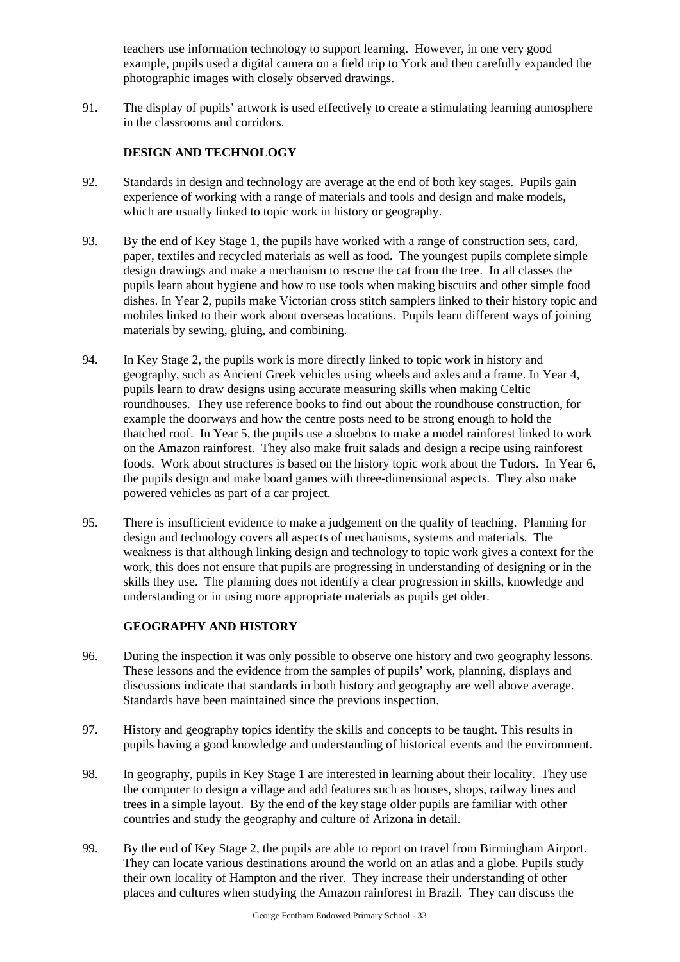teachers use information technology to support learning. However, in one very good example, pupils used a digital camera on a field trip to York and then carefully expanded the photographic images with closely observed drawings.

91. The display of pupils' artwork is used effectively to create a stimulating learning atmosphere in the classrooms and corridors.

# **DESIGN AND TECHNOLOGY**

- 92. Standards in design and technology are average at the end of both key stages. Pupils gain experience of working with a range of materials and tools and design and make models, which are usually linked to topic work in history or geography.
- 93. By the end of Key Stage 1, the pupils have worked with a range of construction sets, card, paper, textiles and recycled materials as well as food. The youngest pupils complete simple design drawings and make a mechanism to rescue the cat from the tree. In all classes the pupils learn about hygiene and how to use tools when making biscuits and other simple food dishes. In Year 2, pupils make Victorian cross stitch samplers linked to their history topic and mobiles linked to their work about overseas locations. Pupils learn different ways of joining materials by sewing, gluing, and combining.
- 94. In Key Stage 2, the pupils work is more directly linked to topic work in history and geography, such as Ancient Greek vehicles using wheels and axles and a frame. In Year 4, pupils learn to draw designs using accurate measuring skills when making Celtic roundhouses. They use reference books to find out about the roundhouse construction, for example the doorways and how the centre posts need to be strong enough to hold the thatched roof. In Year 5, the pupils use a shoebox to make a model rainforest linked to work on the Amazon rainforest. They also make fruit salads and design a recipe using rainforest foods. Work about structures is based on the history topic work about the Tudors. In Year 6, the pupils design and make board games with three-dimensional aspects. They also make powered vehicles as part of a car project.
- 95. There is insufficient evidence to make a judgement on the quality of teaching. Planning for design and technology covers all aspects of mechanisms, systems and materials. The weakness is that although linking design and technology to topic work gives a context for the work, this does not ensure that pupils are progressing in understanding of designing or in the skills they use. The planning does not identify a clear progression in skills, knowledge and understanding or in using more appropriate materials as pupils get older.

# **GEOGRAPHY AND HISTORY**

- 96. During the inspection it was only possible to observe one history and two geography lessons. These lessons and the evidence from the samples of pupils' work, planning, displays and discussions indicate that standards in both history and geography are well above average. Standards have been maintained since the previous inspection.
- 97. History and geography topics identify the skills and concepts to be taught. This results in pupils having a good knowledge and understanding of historical events and the environment.
- 98. In geography, pupils in Key Stage 1 are interested in learning about their locality. They use the computer to design a village and add features such as houses, shops, railway lines and trees in a simple layout. By the end of the key stage older pupils are familiar with other countries and study the geography and culture of Arizona in detail.
- 99. By the end of Key Stage 2, the pupils are able to report on travel from Birmingham Airport. They can locate various destinations around the world on an atlas and a globe. Pupils study their own locality of Hampton and the river. They increase their understanding of other places and cultures when studying the Amazon rainforest in Brazil. They can discuss the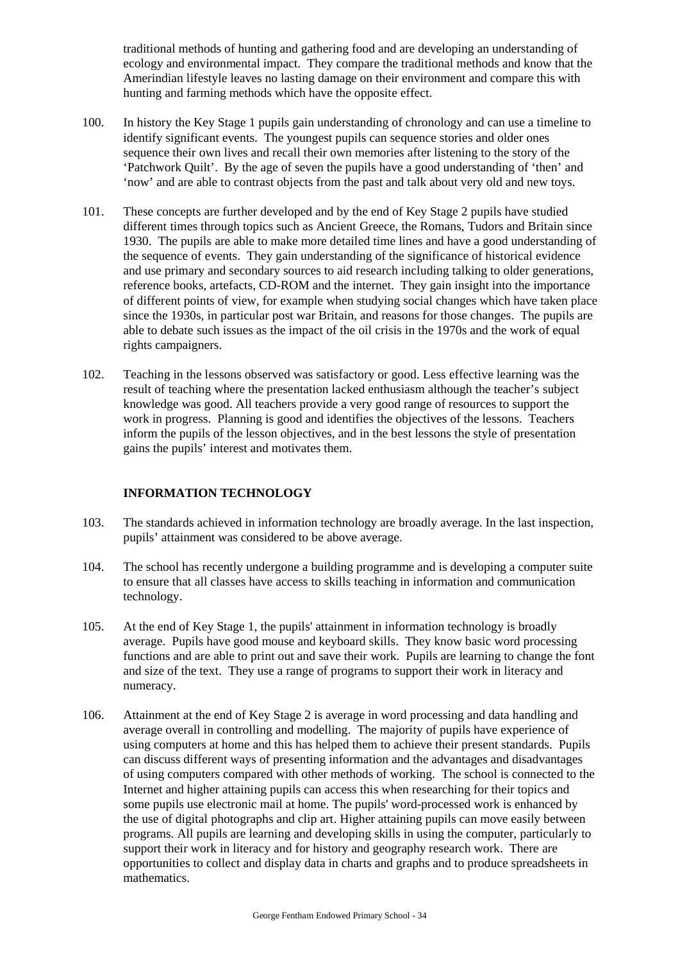traditional methods of hunting and gathering food and are developing an understanding of ecology and environmental impact. They compare the traditional methods and know that the Amerindian lifestyle leaves no lasting damage on their environment and compare this with hunting and farming methods which have the opposite effect.

- 100. In history the Key Stage 1 pupils gain understanding of chronology and can use a timeline to identify significant events. The youngest pupils can sequence stories and older ones sequence their own lives and recall their own memories after listening to the story of the 'Patchwork Quilt'. By the age of seven the pupils have a good understanding of 'then' and 'now' and are able to contrast objects from the past and talk about very old and new toys.
- 101. These concepts are further developed and by the end of Key Stage 2 pupils have studied different times through topics such as Ancient Greece, the Romans, Tudors and Britain since 1930. The pupils are able to make more detailed time lines and have a good understanding of the sequence of events. They gain understanding of the significance of historical evidence and use primary and secondary sources to aid research including talking to older generations, reference books, artefacts, CD-ROM and the internet. They gain insight into the importance of different points of view, for example when studying social changes which have taken place since the 1930s, in particular post war Britain, and reasons for those changes. The pupils are able to debate such issues as the impact of the oil crisis in the 1970s and the work of equal rights campaigners.
- 102. Teaching in the lessons observed was satisfactory or good. Less effective learning was the result of teaching where the presentation lacked enthusiasm although the teacher's subject knowledge was good. All teachers provide a very good range of resources to support the work in progress. Planning is good and identifies the objectives of the lessons. Teachers inform the pupils of the lesson objectives, and in the best lessons the style of presentation gains the pupils' interest and motivates them.

# **INFORMATION TECHNOLOGY**

- 103. The standards achieved in information technology are broadly average. In the last inspection, pupils' attainment was considered to be above average.
- 104. The school has recently undergone a building programme and is developing a computer suite to ensure that all classes have access to skills teaching in information and communication technology.
- 105. At the end of Key Stage 1, the pupils' attainment in information technology is broadly average. Pupils have good mouse and keyboard skills. They know basic word processing functions and are able to print out and save their work. Pupils are learning to change the font and size of the text. They use a range of programs to support their work in literacy and numeracy.
- 106. Attainment at the end of Key Stage 2 is average in word processing and data handling and average overall in controlling and modelling. The majority of pupils have experience of using computers at home and this has helped them to achieve their present standards. Pupils can discuss different ways of presenting information and the advantages and disadvantages of using computers compared with other methods of working. The school is connected to the Internet and higher attaining pupils can access this when researching for their topics and some pupils use electronic mail at home. The pupils' word-processed work is enhanced by the use of digital photographs and clip art. Higher attaining pupils can move easily between programs. All pupils are learning and developing skills in using the computer, particularly to support their work in literacy and for history and geography research work. There are opportunities to collect and display data in charts and graphs and to produce spreadsheets in mathematics.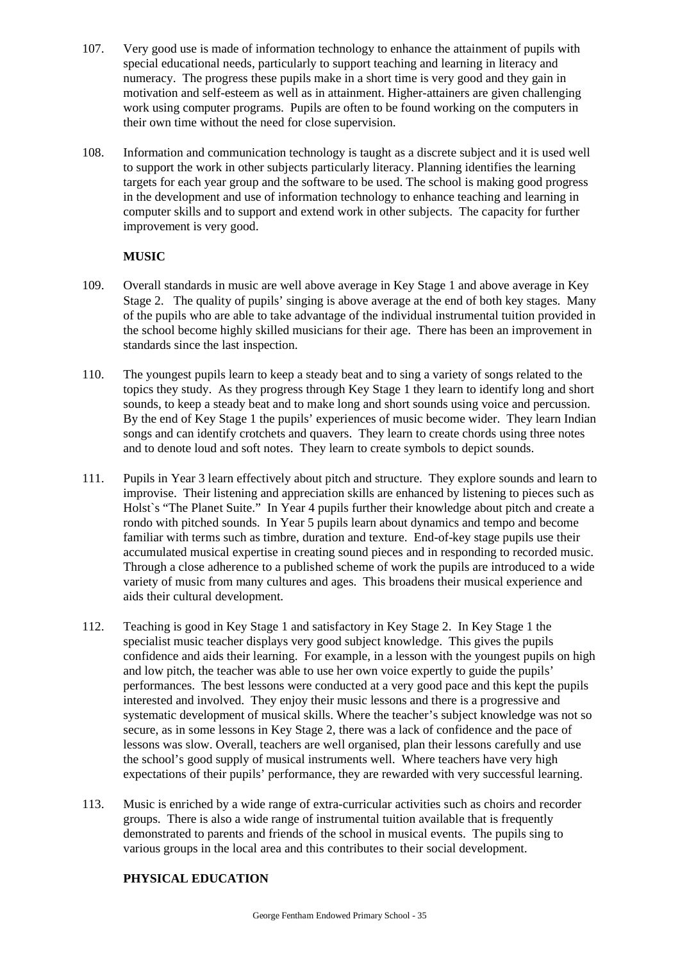- 107. Very good use is made of information technology to enhance the attainment of pupils with special educational needs, particularly to support teaching and learning in literacy and numeracy. The progress these pupils make in a short time is very good and they gain in motivation and self-esteem as well as in attainment. Higher-attainers are given challenging work using computer programs. Pupils are often to be found working on the computers in their own time without the need for close supervision.
- 108. Information and communication technology is taught as a discrete subject and it is used well to support the work in other subjects particularly literacy. Planning identifies the learning targets for each year group and the software to be used. The school is making good progress in the development and use of information technology to enhance teaching and learning in computer skills and to support and extend work in other subjects. The capacity for further improvement is very good.

# **MUSIC**

- 109. Overall standards in music are well above average in Key Stage 1 and above average in Key Stage 2. The quality of pupils' singing is above average at the end of both key stages. Many of the pupils who are able to take advantage of the individual instrumental tuition provided in the school become highly skilled musicians for their age. There has been an improvement in standards since the last inspection.
- 110. The youngest pupils learn to keep a steady beat and to sing a variety of songs related to the topics they study. As they progress through Key Stage 1 they learn to identify long and short sounds, to keep a steady beat and to make long and short sounds using voice and percussion. By the end of Key Stage 1 the pupils' experiences of music become wider. They learn Indian songs and can identify crotchets and quavers. They learn to create chords using three notes and to denote loud and soft notes. They learn to create symbols to depict sounds.
- 111. Pupils in Year 3 learn effectively about pitch and structure. They explore sounds and learn to improvise. Their listening and appreciation skills are enhanced by listening to pieces such as Holst`s "The Planet Suite." In Year 4 pupils further their knowledge about pitch and create a rondo with pitched sounds. In Year 5 pupils learn about dynamics and tempo and become familiar with terms such as timbre, duration and texture. End-of-key stage pupils use their accumulated musical expertise in creating sound pieces and in responding to recorded music. Through a close adherence to a published scheme of work the pupils are introduced to a wide variety of music from many cultures and ages. This broadens their musical experience and aids their cultural development.
- 112. Teaching is good in Key Stage 1 and satisfactory in Key Stage 2. In Key Stage 1 the specialist music teacher displays very good subject knowledge. This gives the pupils confidence and aids their learning. For example, in a lesson with the youngest pupils on high and low pitch, the teacher was able to use her own voice expertly to guide the pupils' performances. The best lessons were conducted at a very good pace and this kept the pupils interested and involved. They enjoy their music lessons and there is a progressive and systematic development of musical skills. Where the teacher's subject knowledge was not so secure, as in some lessons in Key Stage 2, there was a lack of confidence and the pace of lessons was slow. Overall, teachers are well organised, plan their lessons carefully and use the school's good supply of musical instruments well. Where teachers have very high expectations of their pupils' performance, they are rewarded with very successful learning.
- 113. Music is enriched by a wide range of extra-curricular activities such as choirs and recorder groups. There is also a wide range of instrumental tuition available that is frequently demonstrated to parents and friends of the school in musical events. The pupils sing to various groups in the local area and this contributes to their social development.

# **PHYSICAL EDUCATION**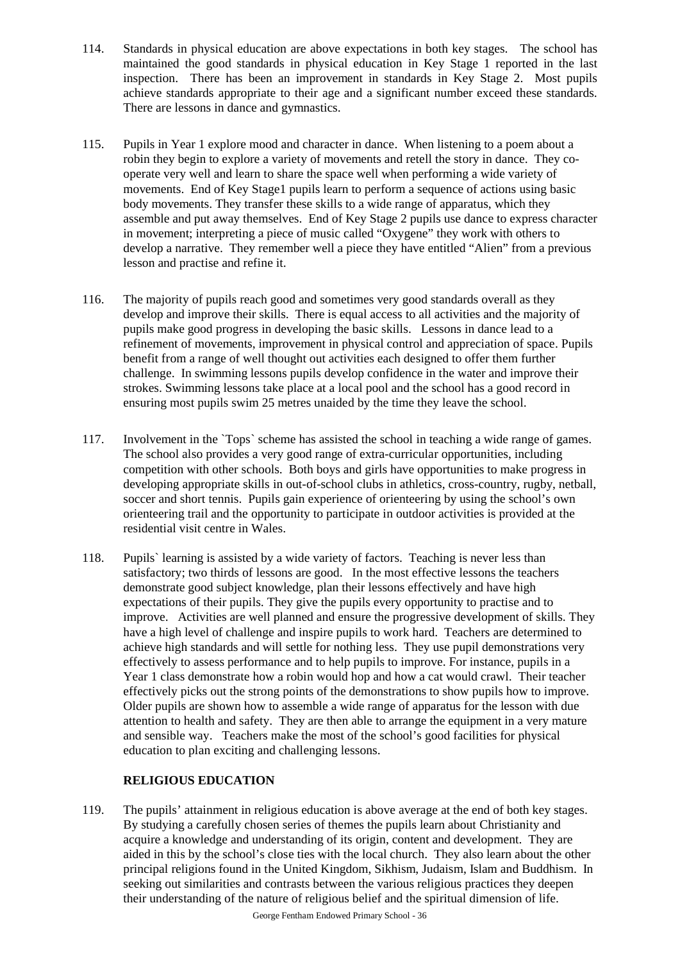- 114. Standards in physical education are above expectations in both key stages. The school has maintained the good standards in physical education in Key Stage 1 reported in the last inspection. There has been an improvement in standards in Key Stage 2. Most pupils achieve standards appropriate to their age and a significant number exceed these standards. There are lessons in dance and gymnastics.
- 115. Pupils in Year 1 explore mood and character in dance. When listening to a poem about a robin they begin to explore a variety of movements and retell the story in dance. They cooperate very well and learn to share the space well when performing a wide variety of movements. End of Key Stage1 pupils learn to perform a sequence of actions using basic body movements. They transfer these skills to a wide range of apparatus, which they assemble and put away themselves. End of Key Stage 2 pupils use dance to express character in movement; interpreting a piece of music called "Oxygene" they work with others to develop a narrative. They remember well a piece they have entitled "Alien" from a previous lesson and practise and refine it.
- 116. The majority of pupils reach good and sometimes very good standards overall as they develop and improve their skills. There is equal access to all activities and the majority of pupils make good progress in developing the basic skills. Lessons in dance lead to a refinement of movements, improvement in physical control and appreciation of space. Pupils benefit from a range of well thought out activities each designed to offer them further challenge. In swimming lessons pupils develop confidence in the water and improve their strokes. Swimming lessons take place at a local pool and the school has a good record in ensuring most pupils swim 25 metres unaided by the time they leave the school.
- 117. Involvement in the `Tops` scheme has assisted the school in teaching a wide range of games. The school also provides a very good range of extra-curricular opportunities, including competition with other schools. Both boys and girls have opportunities to make progress in developing appropriate skills in out-of-school clubs in athletics, cross-country, rugby, netball, soccer and short tennis. Pupils gain experience of orienteering by using the school's own orienteering trail and the opportunity to participate in outdoor activities is provided at the residential visit centre in Wales.
- 118. Pupils` learning is assisted by a wide variety of factors. Teaching is never less than satisfactory; two thirds of lessons are good. In the most effective lessons the teachers demonstrate good subject knowledge, plan their lessons effectively and have high expectations of their pupils. They give the pupils every opportunity to practise and to improve. Activities are well planned and ensure the progressive development of skills. They have a high level of challenge and inspire pupils to work hard. Teachers are determined to achieve high standards and will settle for nothing less. They use pupil demonstrations very effectively to assess performance and to help pupils to improve. For instance, pupils in a Year 1 class demonstrate how a robin would hop and how a cat would crawl. Their teacher effectively picks out the strong points of the demonstrations to show pupils how to improve. Older pupils are shown how to assemble a wide range of apparatus for the lesson with due attention to health and safety. They are then able to arrange the equipment in a very mature and sensible way. Teachers make the most of the school's good facilities for physical education to plan exciting and challenging lessons.

# **RELIGIOUS EDUCATION**

119. The pupils' attainment in religious education is above average at the end of both key stages. By studying a carefully chosen series of themes the pupils learn about Christianity and acquire a knowledge and understanding of its origin, content and development. They are aided in this by the school's close ties with the local church. They also learn about the other principal religions found in the United Kingdom, Sikhism, Judaism, Islam and Buddhism. In seeking out similarities and contrasts between the various religious practices they deepen their understanding of the nature of religious belief and the spiritual dimension of life.